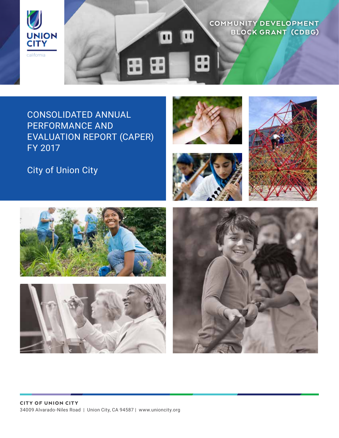

# COMMUNITY DEVELOPMENT BLOCK GRANT (CDBG) ::

CONSOLIDATED ANNUAL PERFORMANCE AND EVALUATION REPORT (CAPER) FY 2017







City of Union City





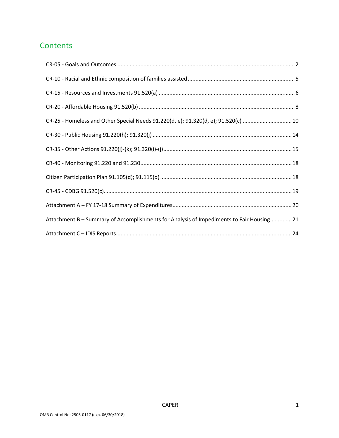# **Contents**

| CR-25 - Homeless and Other Special Needs 91.220(d, e); 91.320(d, e); 91.520(c)  10       |  |
|------------------------------------------------------------------------------------------|--|
|                                                                                          |  |
|                                                                                          |  |
|                                                                                          |  |
|                                                                                          |  |
|                                                                                          |  |
|                                                                                          |  |
| Attachment B - Summary of Accomplishments for Analysis of Impediments to Fair Housing 21 |  |
|                                                                                          |  |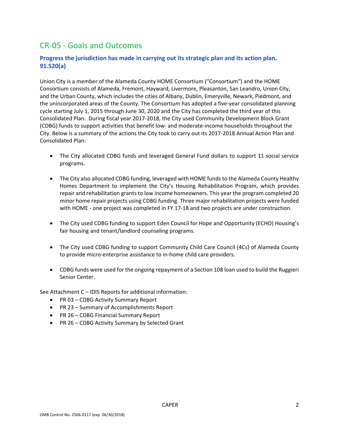# CR‐05 ‐ Goals and Outcomes

### **Progress the jurisdiction has made in carrying out its strategic plan and its action plan. 91.520(a)**

Union City is a member of the Alameda County HOME Consortium ("Consortium") and the HOME Consortium consists of Alameda, Fremont, Hayward, Livermore, Pleasanton, San Leandro, Union City, and the Urban County, which includes the cities of Albany, Dublin, Emeryville, Newark, Piedmont, and the unincorporated areas of the County. The Consortium has adopted a five‐year consolidated planning cycle starting July 1, 2015 through June 30, 2020 and the City has completed the third year of this Consolidated Plan. During fiscal year 2017‐2018, the City used Community Development Block Grant (CDBG) funds to support activities that benefit low‐ and moderate‐income households throughout the City. Below is a summary of the actions the City took to carry out its 2017‐2018 Annual Action Plan and Consolidated Plan:

- The City allocated CDBG funds and leveraged General Fund dollars to support 11 social service programs.
- The City also allocated CDBG funding, leveraged with HOME funds to the Alameda County Healthy Homes Department to implement the City's Housing Rehabilitation Program, which provides repair and rehabilitation grants to low income homeowners. This year the program completed 20 minor home repair projects using CDBG funding. Three major rehabilitation projects were funded with HOME - one project was completed in FY 17-18 and two projects are under construction.
- The City used CDBG funding to support Eden Council for Hope and Opportunity (ECHO) Housing's fair housing and tenant/landlord counseling programs.
- The City used CDBG funding to support Community Child Care Council (4Cs) of Alameda County to provide micro‐enterprise assistance to in‐home child care providers.
- CDBG funds were used for the ongoing repayment of a Section 108 loan used to build the Ruggieri Senior Center.

See Attachment C – IDIS Reports for additional information:

- PR 03 CDBG Activity Summary Report
- PR 23 Summary of Accomplishments Report
- PR 26 CDBG Financial Summary Report
- PR 26 CDBG Activity Summary by Selected Grant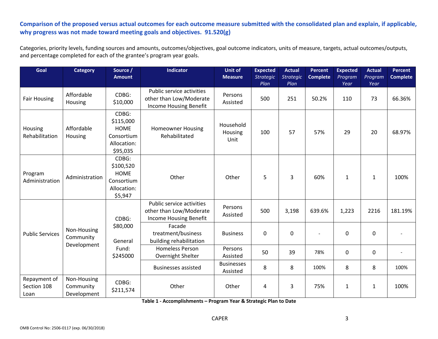## **Comparison of the proposed versus actual outcomes for each outcome measure submitted with the consolidated plan and explain, if applicable, why progress was not made toward meeting goals and objectives. 91.520(g)**

Categories, priority levels, funding sources and amounts, outcomes/objectives, goal outcome indicators, units of measure, targets, actual outcomes/outputs, and percentage completed for each of the grantee's program year goals.

| Goal                                | <b>Category</b>                         | Source /<br><b>Amount</b>                                                  | <b>Indicator</b>                                                               | <b>Unit of</b><br><b>Measure</b> | <b>Expected</b><br><b>Strategic</b><br>Plan | <b>Actual</b><br><b>Strategic</b><br>Plan | <b>Percent</b><br><b>Complete</b> | <b>Expected</b><br>Program<br>Year | <b>Actual</b><br>Program<br>Year | <b>Percent</b><br><b>Complete</b> |
|-------------------------------------|-----------------------------------------|----------------------------------------------------------------------------|--------------------------------------------------------------------------------|----------------------------------|---------------------------------------------|-------------------------------------------|-----------------------------------|------------------------------------|----------------------------------|-----------------------------------|
| <b>Fair Housing</b>                 | Affordable<br>Housing                   | CDBG:<br>\$10,000                                                          | Public service activities<br>other than Low/Moderate<br>Income Housing Benefit | Persons<br>Assisted              | 500                                         | 251                                       | 50.2%                             | 110                                | 73                               | 66.36%                            |
| Housing<br>Rehabilitation           | Affordable<br>Housing                   | CDBG:<br>\$115,000<br><b>HOME</b><br>Consortium<br>Allocation:<br>\$95,035 | <b>Homeowner Housing</b><br>Rehabilitated                                      | Household<br>Housing<br>Unit     | 100                                         | 57                                        | 57%                               | 29                                 | 20                               | 68.97%                            |
| Program<br>Administration           | Administration                          | CDBG:<br>\$100,520<br><b>HOME</b><br>Consortium<br>Allocation:<br>\$5,947  | Other                                                                          | Other                            | 5                                           | 3                                         | 60%                               | $\mathbf{1}$                       | $\mathbf{1}$                     | 100%                              |
|                                     |                                         | CDBG:                                                                      | Public service activities<br>other than Low/Moderate<br>Income Housing Benefit | Persons<br>Assisted              | 500                                         | 3,198                                     | 639.6%                            | 1,223                              | 2216                             | 181.19%                           |
| <b>Public Services</b>              | Non-Housing<br>Community<br>Development | \$80,000<br>General                                                        | Facade<br>treatment/business<br>building rehabilitation                        | <b>Business</b>                  | $\mathbf 0$                                 | 0                                         |                                   | $\mathbf 0$                        | $\mathbf 0$                      |                                   |
|                                     |                                         | Fund:<br>\$245000                                                          | <b>Homeless Person</b><br>Overnight Shelter                                    | Persons<br>Assisted              | 50                                          | 39                                        | 78%                               | 0                                  | $\mathbf 0$                      |                                   |
|                                     |                                         |                                                                            | <b>Businesses assisted</b>                                                     | <b>Businesses</b><br>Assisted    | 8                                           | 8                                         | 100%                              | 8                                  | 8                                | 100%                              |
| Repayment of<br>Section 108<br>Loan | Non-Housing<br>Community<br>Development | CDBG:<br>\$211,574                                                         | Other                                                                          | Other                            | 4                                           | 3                                         | 75%                               | $\mathbf 1$                        | 1                                | 100%                              |

**Table 1 ‐ Accomplishments – Program Year & Strategic Plan to Date**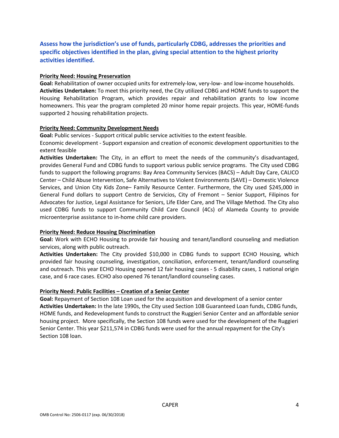## **Assess how the jurisdiction's use of funds, particularly CDBG, addresses the priorities and specific objectives identified in the plan, giving special attention to the highest priority activities identified.**

### **Priority Need: Housing Preservation**

Goal: Rehabilitation of owner occupied units for extremely-low, very-low- and low-income households. **Activities Undertaken:** To meet this priority need, the City utilized CDBG and HOME funds to support the Housing Rehabilitation Program, which provides repair and rehabilitation grants to low income homeowners. This year the program completed 20 minor home repair projects. This year, HOME‐funds supported 2 housing rehabilitation projects.

### **Priority Need: Community Development Needs**

**Goal:** Public services ‐ Support critical public service activities to the extent feasible.

Economic development ‐ Support expansion and creation of economic development opportunities to the extent feasible

Activities Undertaken: The City, in an effort to meet the needs of the community's disadvantaged, provides General Fund and CDBG funds to support various public service programs. The City used CDBG funds to support the following programs: Bay Area Community Services (BACS) – Adult Day Care, CALICO Center – Child Abuse Intervention, Safe Alternatives to Violent Environments (SAVE) – Domestic Violence Services, and Union City Kids Zone– Family Resource Center. Furthermore, the City used \$245,000 in General Fund dollars to support Centro de Servicios, City of Fremont - Senior Support, Filipinos for Advocates for Justice, Legal Assistance for Seniors, Life Elder Care, and The Village Method. The City also used CDBG funds to support Community Child Care Council (4Cs) of Alameda County to provide microenterprise assistance to in‐home child care providers.

### **Priority Need: Reduce Housing Discrimination**

**Goal:** Work with ECHO Housing to provide fair housing and tenant/landlord counseling and mediation services, along with public outreach.

**Activities Undertaken:**  The City provided \$10,000 in CDBG funds to support ECHO Housing, which provided fair housing counseling, investigation, conciliation, enforcement, tenant/landlord counseling and outreach. This year ECHO Housing opened 12 fair housing cases ‐ 5 disability cases, 1 national origin case, and 6 race cases. ECHO also opened 76 tenant/landlord counseling cases.

### **Priority Need: Public Facilities – Creation of a Senior Center**

**Goal:** Repayment of Section 108 Loan used for the acquisition and development of a senior center **Activities Undertaken:** In the late 1990s, the City used Section 108 Guaranteed Loan funds, CDBG funds, HOME funds, and Redevelopment funds to construct the Ruggieri Senior Center and an affordable senior housing project. More specifically, the Section 108 funds were used for the development of the Ruggieri Senior Center. This year \$211,574 in CDBG funds were used for the annual repayment for the City's Section 108 loan.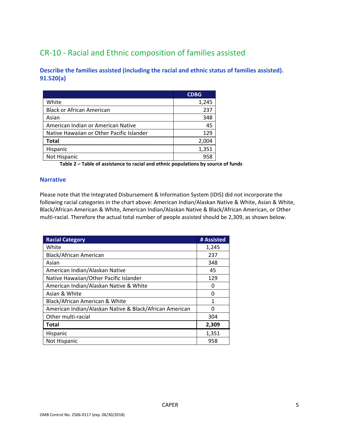# CR‐10 ‐ Racial and Ethnic composition of families assisted

**Describe the families assisted (including the racial and ethnic status of families assisted). 91.520(a)** 

|                                           | <b>CDBG</b> |
|-------------------------------------------|-------------|
| White                                     | 1,245       |
| <b>Black or African American</b>          | 237         |
| Asian                                     | 348         |
| American Indian or American Native        | 45          |
| Native Hawaiian or Other Pacific Islander | 129         |
| <b>Total</b>                              | 2,004       |
| Hispanic                                  | 1,351       |
| Not Hispanic                              | 958         |

**Table 2 – Table of assistance to racial and ethnic populations by source of funds** 

### **Narrative**

Please note that the Integrated Disbursement & Information System (IDIS) did not incorporate the following racial categories in the chart above: American Indian/Alaskan Native & White, Asian & White, Black/African American & White, American Indian/Alaskan Native & Black/African American, or Other multi-racial. Therefore the actual total number of people assisted should be 2,309, as shown below.

| <b>Racial Category</b>                                  | # Assisted |
|---------------------------------------------------------|------------|
| White                                                   | 1,245      |
| Black/African American                                  | 237        |
| Asian                                                   | 348        |
| American Indian/Alaskan Native                          | 45         |
| Native Hawaiian/Other Pacific Islander                  | 129        |
| American Indian/Alaskan Native & White                  | O          |
| Asian & White                                           | ŋ          |
| Black/African American & White                          | 1          |
| American Indian/Alaskan Native & Black/African American | O          |
| Other multi-racial                                      | 304        |
| <b>Total</b>                                            | 2,309      |
| Hispanic                                                | 1,351      |
| Not Hispanic                                            | 958        |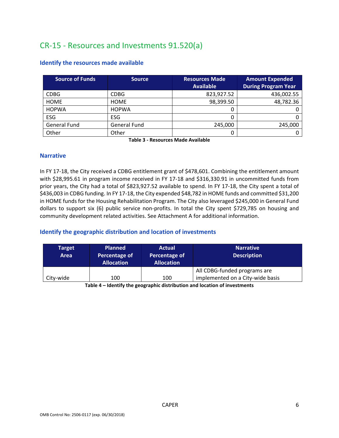# CR‐15 ‐ Resources and Investments 91.520(a)

| <b>Source of Funds</b> | <b>Source</b> | <b>Resources Made</b><br><b>Available</b> | <b>Amount Expended</b><br><b>During Program Year</b> |
|------------------------|---------------|-------------------------------------------|------------------------------------------------------|
| <b>CDBG</b>            | <b>CDBG</b>   | 823,927.52                                | 436,002.55                                           |
| <b>HOME</b>            | <b>HOME</b>   | 98,399.50                                 | 48,782.36                                            |
| <b>HOPWA</b>           | <b>HOPWA</b>  |                                           |                                                      |
| <b>ESG</b>             | ESG           |                                           |                                                      |
| <b>General Fund</b>    | General Fund  | 245,000                                   | 245,000                                              |
| Other                  | Other         |                                           |                                                      |

### **Identify the resources made available**

**Table 3 ‐ Resources Made Available** 

### **Narrative**

In FY 17‐18, the City received a CDBG entitlement grant of \$478,601. Combining the entitlement amount with \$28,995.61 in program income received in FY 17-18 and \$316,330.91 in uncommitted funds from prior years, the City had a total of \$823,927.52 available to spend. In FY 17‐18, the City spent a total of \$436,003 in CDBG funding. In FY 17‐18, the City expended \$48,782 in HOME funds and committed \$31,200 in HOME funds for the Housing Rehabilitation Program. The City also leveraged \$245,000 in General Fund dollars to support six (6) public service non-profits. In total the City spent \$729,785 on housing and community development related activities. See Attachment A for additional information.

## **Identify the geographic distribution and location of investments**

| <b>Target</b><br>Area | <b>Planned</b><br>Percentage of<br><b>Allocation</b> | <b>Actual</b><br>Percentage of<br><b>Allocation</b> | <b>Narrative</b><br><b>Description</b> |  |  |  |
|-----------------------|------------------------------------------------------|-----------------------------------------------------|----------------------------------------|--|--|--|
|                       |                                                      |                                                     | All CDBG-funded programs are           |  |  |  |
| City-wide             | 100                                                  | 100                                                 | implemented on a City-wide basis       |  |  |  |

**Table 4 – Identify the geographic distribution and location of investments**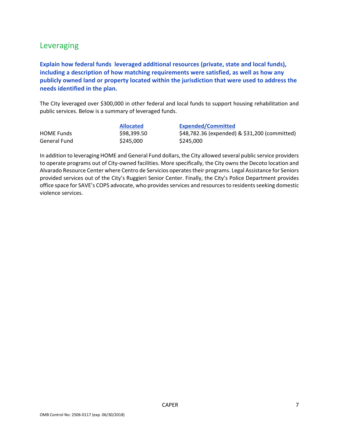# Leveraging

**Explain how federal funds leveraged additional resources (private, state and local funds), including a description of how matching requirements were satisfied, as well as how any publicly owned land or property located within the jurisdiction that were used to address the needs identified in the plan.** 

The City leveraged over \$300,000 in other federal and local funds to support housing rehabilitation and public services. Below is a summary of leveraged funds.

|              | <b>Allocated</b> | <b>Expended/Committed</b>                     |
|--------------|------------------|-----------------------------------------------|
| HOME Funds   | \$98,399.50      | \$48,782.36 (expended) & \$31,200 (committed) |
| General Fund | \$245,000        | \$245,000                                     |

In addition to leveraging HOME and General Fund dollars, the City allowed several public service providers to operate programs out of City‐owned facilities. More specifically, the City owns the Decoto location and Alvarado Resource Center where Centro de Servicios operates their programs. Legal Assistance for Seniors provided services out of the City's Ruggieri Senior Center. Finally, the City's Police Department provides office space for SAVE's COPS advocate, who provides services and resources to residents seeking domestic violence services.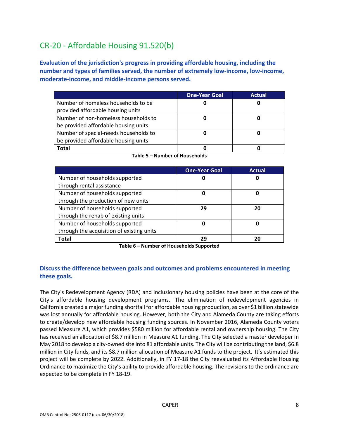# CR‐20 ‐ Affordable Housing 91.520(b)

**Evaluation of the jurisdiction's progress in providing affordable housing, including the number and types of families served, the number of extremely low‐income, low‐income, moderate‐income, and middle‐income persons served.** 

|                                       | <b>One-Year Goal</b> | <b>Actual</b> |
|---------------------------------------|----------------------|---------------|
| Number of homeless households to be   |                      | u             |
| provided affordable housing units     |                      |               |
| Number of non-homeless households to  |                      |               |
| be provided affordable housing units  |                      |               |
| Number of special-needs households to |                      |               |
| be provided affordable housing units  |                      |               |
| Total                                 | 0                    |               |

|                                           | <b>One-Year Goal</b> | <b>Actual</b> |
|-------------------------------------------|----------------------|---------------|
| Number of households supported            | U                    | O             |
| through rental assistance                 |                      |               |
| Number of households supported            | 0                    | 0             |
| through the production of new units       |                      |               |
| Number of households supported            | 29                   | 20            |
| through the rehab of existing units       |                      |               |
| Number of households supported            | 0                    | Ω             |
| through the acquisition of existing units |                      |               |
| Total                                     | 29                   | 20            |

**Table 6 – Number of Households Supported** 

## **Discuss the difference between goals and outcomes and problems encountered in meeting these goals.**

The City's Redevelopment Agency (RDA) and inclusionary housing policies have been at the core of the City's affordable housing development programs. The elimination of redevelopment agencies in California created a major funding shortfall for affordable housing production, as over \$1 billion statewide was lost annually for affordable housing. However, both the City and Alameda County are taking efforts to create/develop new affordable housing funding sources. In November 2016, Alameda County voters passed Measure A1, which provides \$580 million for affordable rental and ownership housing. The City has received an allocation of \$8.7 million in Measure A1 funding. The City selected a master developer in May 2018 to develop a city-owned site into 81 affordable units. The City will be contributing the land, \$6.8 million in City funds, and its \$8.7 million allocation of Measure A1 funds to the project. It's estimated this project will be complete by 2022. Additionally, in FY 17‐18 the City reevaluated its Affordable Housing Ordinance to maximize the City's ability to provide affordable housing. The revisions to the ordinance are expected to be complete in FY 18‐19.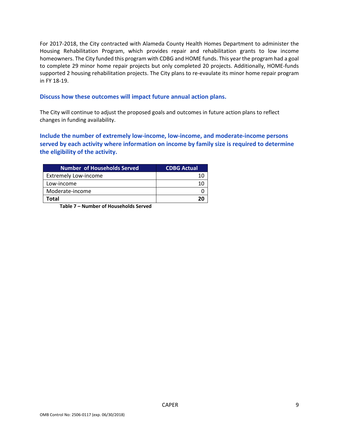For 2017‐2018, the City contracted with Alameda County Health Homes Department to administer the Housing Rehabilitation Program, which provides repair and rehabilitation grants to low income homeowners. The City funded this program with CDBG and HOME funds. This year the program had a goal to complete 29 minor home repair projects but only completed 20 projects. Additionally, HOME‐funds supported 2 housing rehabilitation projects. The City plans to re-evaulate its minor home repair program in FY 18‐19.

### **Discuss how these outcomes will impact future annual action plans.**

The City will continue to adjust the proposed goals and outcomes in future action plans to reflect changes in funding availability.

**Include the number of extremely low‐income, low‐income, and moderate‐income persons served by each activity where information on income by family size is required to determine the eligibility of the activity.** 

| <b>Number of Households Served</b> | <b>CDBG Actual</b> |
|------------------------------------|--------------------|
| <b>Extremely Low-income</b>        |                    |
| Low-income                         |                    |
| Moderate-income                    |                    |
| Total                              |                    |

**Table 7 – Number of Households Served**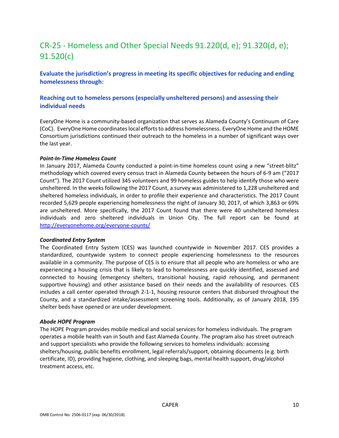# CR‐25 ‐ Homeless and Other Special Needs 91.220(d, e); 91.320(d, e); 91.520(c)

**Evaluate the jurisdiction's progress in meeting its specific objectives for reducing and ending homelessness through:** 

### **Reaching out to homeless persons (especially unsheltered persons) and assessing their individual needs**

EveryOne Home is a community‐based organization that serves as Alameda County's Continuum of Care (CoC). EveryOne Home coordinates local efforts to address homelessness. EveryOne Home and the HOME Consortium jurisdictions continued their outreach to the homeless in a number of significant ways over the last year.

### *Point‐In‐Time Homeless Count*

In January 2017, Alameda County conducted a point‐in‐time homeless count using a new "street‐blitz" methodology which covered every census tract in Alameda County between the hours of 6‐9 am ("2017 Count"). The 2017 Count utilized 345 volunteers and 99 homeless guides to help identify those who were unsheltered. In the weeks following the 2017 Count, a survey was administered to 1,228 unsheltered and sheltered homeless individuals, in order to profile their experience and characteristics. The 2017 Count recorded 5,629 people experiencing homelessness the night of January 30, 2017, of which 3,863 or 69% are unsheltered. More specifically, the 2017 Count found that there were 40 unsheltered homeless individuals and zero sheltered individuals in Union City. The full report can be found at http://everyonehome.org/everyone‐counts/

### *Coordinated Entry System*

The Coordinated Entry System (CES) was launched countywide in November 2017. CES provides a standardized, countywide system to connect people experiencing homelessness to the resources available in a community. The purpose of CES is to ensure that all people who are homeless or who are experiencing a housing crisis that is likely to lead to homelessness are quickly identified, assessed and connected to housing (emergency shelters, transitional housing, rapid rehousing, and permanent supportive housing) and other assistance based on their needs and the availability of resources. CES includes a call center operated through 2‐1‐1, housing resource centers that disbursed throughout the County, and a standardized intake/assessment screening tools. Additionally, as of January 2018, 195 shelter beds have opened or are under development.

### *Abode HOPE Program*

The HOPE Program provides mobile medical and social services for homeless individuals. The program operates a mobile health van in South and East Alameda County. The program also has street outreach and support specialists who provide the following services to homeless individuals: accessing shelters/housing, public benefits enrollment, legal referrals/support, obtaining documents (e.g. birth certificate, ID), providing hygiene, clothing, and sleeping bags, mental health support, drug/alcohol treatment access, etc.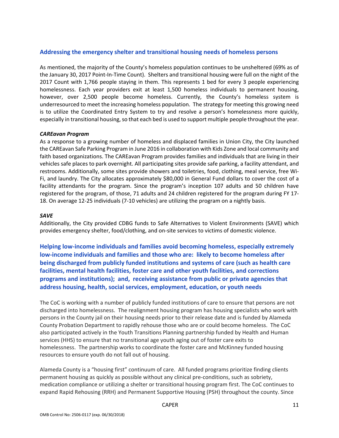### **Addressing the emergency shelter and transitional housing needs of homeless persons**

As mentioned, the majority of the County's homeless population continues to be unsheltered (69% as of the January 30, 2017 Point‐In‐Time Count). Shelters and transitional housing were full on the night of the 2017 Count with 1,766 people staying in them. This represents 1 bed for every 3 people experiencing homelessness. Each year providers exit at least 1,500 homeless individuals to permanent housing, however, over 2,500 people become homeless. Currently, the County's homeless system is underresourced to meet the increasing homeless population. The strategy for meeting this growing need is to utilize the Coordinated Entry System to try and resolve a person's homelessness more quickly, especially in transitional housing, so that each bed is used to support multiple people throughout the year.

### *CAREavan Program*

As a response to a growing number of homeless and displaced families in Union City, the City launched the CAREavan Safe Parking Program in June 2016 in collaboration with Kids Zone and local community and faith based organizations. The CAREavan Program provides families and individuals that are living in their vehicles safe places to park overnight. All participating sites provide safe parking, a facility attendant, and restrooms. Additionally, some sites provide showers and toiletries, food, clothing, meal service, free Wi‐ Fi, and laundry. The City allocates approximately \$80,000 in General Fund dollars to cover the cost of a facility attendants for the program. Since the program's inception 107 adults and 50 children have registered for the program, of those, 71 adults and 24 children registered for the program during FY 17‐ 18. On average 12‐25 individuals (7‐10 vehicles) are utilizing the program on a nightly basis.

### *SAVE*

Additionally, the City provided CDBG funds to Safe Alternatives to Violent Environments (SAVE) which provides emergency shelter, food/clothing, and on‐site services to victims of domestic violence.

**Helping low‐income individuals and families avoid becoming homeless, especially extremely low‐income individuals and families and those who are: likely to become homeless after being discharged from publicly funded institutions and systems of care (such as health care facilities, mental health facilities, foster care and other youth facilities, and corrections programs and institutions); and, receiving assistance from public or private agencies that address housing, health, social services, employment, education, or youth needs** 

The CoC is working with a number of publicly funded institutions of care to ensure that persons are not discharged into homelessness. The realignment housing program has housing specialists who work with persons in the County jail on their housing needs prior to their release date and is funded by Alameda County Probation Department to rapidly rehouse those who are or could become homeless. The CoC also participated actively in the Youth Transitions Planning partnership funded by Health and Human services (HHS) to ensure that no transitional age youth aging out of foster care exits to homelessness. The partnership works to coordinate the foster care and McKinney funded housing resources to ensure youth do not fall out of housing.

Alameda County is a "housing first" continuum of care. All funded programs prioritize finding clients permanent housing as quickly as possible without any clinical pre-conditions, such as sobriety, medication compliance or utilizing a shelter or transitional housing program first. The CoC continues to expand Rapid Rehousing (RRH) and Permanent Supportive Housing (PSH) throughout the county. Since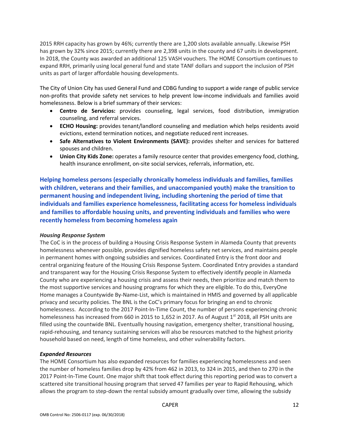2015 RRH capacity has grown by 46%; currently there are 1,200 slots available annually. Likewise PSH has grown by 32% since 2015; currently there are 2,398 units in the county and 67 units in development. In 2018, the County was awarded an additional 125 VASH vouchers. The HOME Consortium continues to expand RRH, primarily using local general fund and state TANF dollars and support the inclusion of PSH units as part of larger affordable housing developments.

The City of Union City has used General Fund and CDBG funding to support a wide range of public service non‐profits that provide safety net services to help prevent low‐income individuals and families avoid homelessness. Below is a brief summary of their services:

- **Centro de Servicios:** provides counseling, legal services, food distribution, immigration counseling, and referral services.
- **ECHO Housing:** provides tenant/landlord counseling and mediation which helps residents avoid evictions, extend termination notices, and negotiate reduced rent increases.
- **Safe Alternatives to Violent Environments (SAVE):** provides shelter and services for battered spouses and children.
- **Union City Kids Zone:** operates a family resource center that provides emergency food, clothing, health insurance enrollment, on-site social services, referrals, information, etc.

**Helping homeless persons (especially chronically homeless individuals and families, families with children, veterans and their families, and unaccompanied youth) make the transition to permanent housing and independent living, including shortening the period of time that individuals and families experience homelessness, facilitating access for homeless individuals and families to affordable housing units, and preventing individuals and families who were recently homeless from becoming homeless again** 

### *Housing Response System*

The CoC is in the process of building a Housing Crisis Response System in Alameda County that prevents homelessness whenever possible, provides dignified homeless safety net services, and maintains people in permanent homes with ongoing subsidies and services. Coordinated Entry is the front door and central organizing feature of the Housing Crisis Response System. Coordinated Entry provides a standard and transparent way for the Housing Crisis Response System to effectively identify people in Alameda County who are experiencing a housing crisis and assess their needs, then prioritize and match them to the most supportive services and housing programs for which they are eligible. To do this, EveryOne Home manages a Countywide By‐Name‐List, which is maintained in HMIS and governed by all applicable privacy and security policies. The BNL is the CoC's primary focus for bringing an end to chronic homelessness. According to the 2017 Point-In-Time Count, the number of persons experiencing chronic homelessness has increased from 660 in 2015 to 1,652 in 2017. As of August 1<sup>st</sup> 2018, all PSH units are filled using the countwide BNL. Eventually housing navigation, emergency shelter, transitional housing, rapid-rehousing, and tenancy sustaining services will also be resources matched to the highest priority household based on need, length of time homeless, and other vulnerability factors.

### *Expanded Resources*

The HOME Consortium has also expanded resources for families experiencing homelessness and seen the number of homeless families drop by 42% from 462 in 2013, to 324 in 2015, and then to 270 in the 2017 Point-In-Time Count. One major shift that took effect during this reporting period was to convert a scattered site transitional housing program that served 47 families per year to Rapid Rehousing, which allows the program to step‐down the rental subsidy amount gradually over time, allowing the subsidy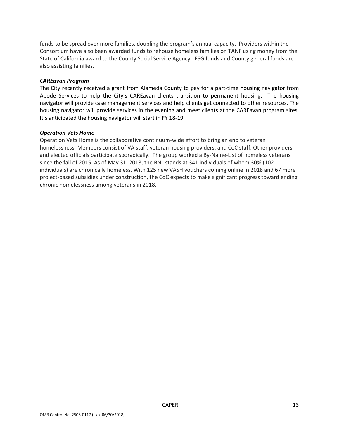funds to be spread over more families, doubling the program's annual capacity. Providers within the Consortium have also been awarded funds to rehouse homeless families on TANF using money from the State of California award to the County Social Service Agency. ESG funds and County general funds are also assisting families.

### *CAREavan Program*

The City recently received a grant from Alameda County to pay for a part-time housing navigator from Abode Services to help the City's CAREavan clients transition to permanent housing. The housing navigator will provide case management services and help clients get connected to other resources. The housing navigator will provide services in the evening and meet clients at the CAREavan program sites. It's anticipated the housing navigator will start in FY 18‐19.

### *Operation Vets Home*

Operation Vets Home is the collaborative continuum‐wide effort to bring an end to veteran homelessness. Members consist of VA staff, veteran housing providers, and CoC staff. Other providers and elected officials participate sporadically. The group worked a By-Name-List of homeless veterans since the fall of 2015. As of May 31, 2018, the BNL stands at 341 individuals of whom 30% (102 individuals) are chronically homeless. With 125 new VASH vouchers coming online in 2018 and 67 more project-based subsidies under construction, the CoC expects to make significant progress toward ending chronic homelessness among veterans in 2018.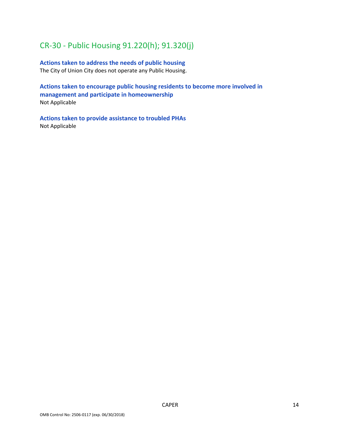# CR‐30 ‐ Public Housing 91.220(h); 91.320(j)

**Actions taken to address the needs of public housing**  The City of Union City does not operate any Public Housing.

**Actions taken to encourage public housing residents to become more involved in management and participate in homeownership**  Not Applicable

**Actions taken to provide assistance to troubled PHAs**  Not Applicable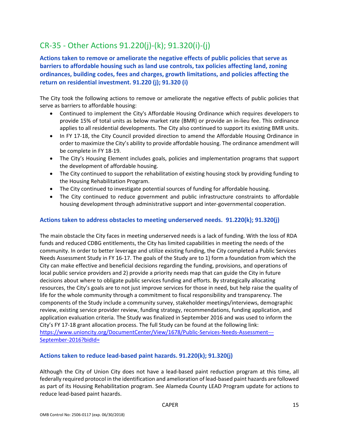# CR‐35 ‐ Other Actions 91.220(j)‐(k); 91.320(i)‐(j)

**Actions taken to remove or ameliorate the negative effects of public policies that serve as barriers to affordable housing such as land use controls, tax policies affecting land, zoning ordinances, building codes, fees and charges, growth limitations, and policies affecting the return on residential investment. 91.220 (j); 91.320 (i)** 

The City took the following actions to remove or ameliorate the negative effects of public policies that serve as barriers to affordable housing:

- Continued to implement the City's Affordable Housing Ordinance which requires developers to provide 15% of total units as below market rate (BMR) or provide an in‐lieu fee. This ordinance applies to all residential developments. The City also continued to support its existing BMR units.
- In FY 17-18, the City Council provided direction to amend the Affordable Housing Ordinance in order to maximize the City's ability to provide affordable housing. The ordinance amendment will be complete in FY 18‐19.
- The City's Housing Element includes goals, policies and implementation programs that support the development of affordable housing.
- The City continued to support the rehabilitation of existing housing stock by providing funding to the Housing Rehabilitation Program.
- The City continued to investigate potential sources of funding for affordable housing.
- The City continued to reduce government and public infrastructure constraints to affordable housing development through administrative support and inter‐governmental cooperation.

### **Actions taken to address obstacles to meeting underserved needs. 91.220(k); 91.320(j)**

The main obstacle the City faces in meeting underserved needs is a lack of funding. With the loss of RDA funds and reduced CDBG entitlements, the City has limited capabilities in meeting the needs of the community. In order to better leverage and utilize existing funding, the City completed a Public Services Needs Assessment Study in FY 16‐17. The goals of the Study are to 1) form a foundation from which the City can make effective and beneficial decisions regarding the funding, provisions, and operations of local public service providers and 2) provide a priority needs map that can guide the City in future decisions about where to obligate public services funding and efforts. By strategically allocating resources, the City's goals are to not just improve services for those in need, but help raise the quality of life for the whole community through a commitment to fiscal responsibility and transparency. The components of the Study include a community survey, stakeholder meetings/interviews, demographic review, existing service provider review, funding strategy, recommendations, funding application, and application evaluation criteria. The Study was finalized in September 2016 and was used to inform the City's FY 17‐18 grant allocation process. The full Study can be found at the following link: https://www.unioncity.org/DocumentCenter/View/1678/Public-Services-Needs-Assessment---September-2016?bidId=

### **Actions taken to reduce lead‐based paint hazards. 91.220(k); 91.320(j)**

Although the City of Union City does not have a lead‐based paint reduction program at this time, all federally required protocol in the identification and amelioration of lead‐based paint hazards are followed as part of its Housing Rehabilitation program. See Alameda County LEAD Program update for actions to reduce lead‐based paint hazards.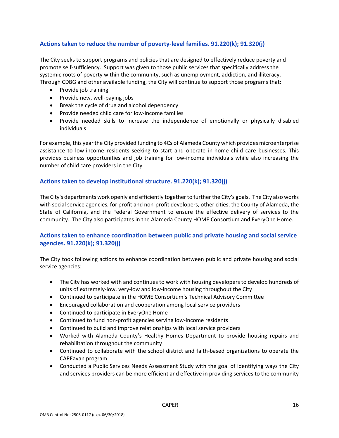### **Actions taken to reduce the number of poverty‐level families. 91.220(k); 91.320(j)**

The City seeks to support programs and policies that are designed to effectively reduce poverty and promote self‐sufficiency. Support was given to those public services that specifically address the systemic roots of poverty within the community, such as unemployment, addiction, and illiteracy. Through CDBG and other available funding, the City will continue to support those programs that:

- Provide job training
- Provide new, well-paying jobs
- Break the cycle of drug and alcohol dependency
- Provide needed child care for low-income families
- Provide needed skills to increase the independence of emotionally or physically disabled individuals

For example, this year the City provided funding to 4Cs of Alameda County which provides microenterprise assistance to low‐income residents seeking to start and operate in‐home child care businesses. This provides business opportunities and job training for low‐income individuals while also increasing the number of child care providers in the City.

### **Actions taken to develop institutional structure. 91.220(k); 91.320(j)**

The City's departments work openly and efficiently together to further the City's goals. The City also works with social service agencies, for profit and non-profit developers, other cities, the County of Alameda, the State of California, and the Federal Government to ensure the effective delivery of services to the community. The City also participates in the Alameda County HOME Consortium and EveryOne Home.

## **Actions taken to enhance coordination between public and private housing and social service agencies. 91.220(k); 91.320(j)**

The City took following actions to enhance coordination between public and private housing and social service agencies:

- The City has worked with and continues to work with housing developers to develop hundreds of units of extremely‐low, very‐low and low‐income housing throughout the City
- Continued to participate in the HOME Consortium's Technical Advisory Committee
- Encouraged collaboration and cooperation among local service providers
- Continued to participate in EveryOne Home
- Continued to fund non-profit agencies serving low-income residents
- Continued to build and improve relationships with local service providers
- Worked with Alameda County's Healthy Homes Department to provide housing repairs and rehabilitation throughout the community
- Continued to collaborate with the school district and faith-based organizations to operate the CAREavan program
- Conducted a Public Services Needs Assessment Study with the goal of identifying ways the City and services providers can be more efficient and effective in providing services to the community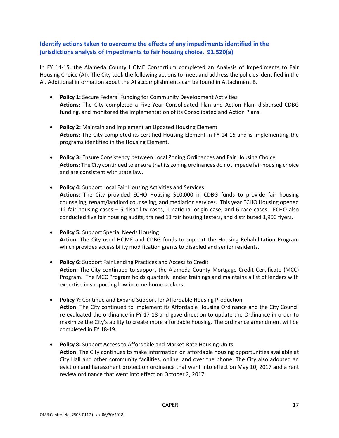### **Identify actions taken to overcome the effects of any impediments identified in the jurisdictions analysis of impediments to fair housing choice. 91.520(a)**

In FY 14-15, the Alameda County HOME Consortium completed an Analysis of Impediments to Fair Housing Choice (AI). The City took the following actions to meet and address the policies identified in the AI. Additional information about the AI accomplishments can be found in Attachment B.

- **Policy 1:** Secure Federal Funding for Community Development Activities **Actions:** The City completed a Five‐Year Consolidated Plan and Action Plan, disbursed CDBG funding, and monitored the implementation of its Consolidated and Action Plans.
- **Policy 2:** Maintain and Implement an Updated Housing Element **Actions:** The City completed its certified Housing Element in FY 14‐15 and is implementing the programs identified in the Housing Element.
- **Policy 3:** Ensure Consistency between Local Zoning Ordinances and Fair Housing Choice **Actions:** The City continued to ensure that its zoning ordinances do not impede fair housing choice and are consistent with state law.
- **Policy 4:** Support Local Fair Housing Activities and Services Actions: The City provided ECHO Housing \$10,000 in CDBG funds to provide fair housing counseling, tenant/landlord counseling, and mediation services. This year ECHO Housing opened 12 fair housing cases – 5 disability cases, 1 national origin case, and 6 race cases. ECHO also conducted five fair housing audits, trained 13 fair housing testers, and distributed 1,900 flyers.
- **Policy 5:** Support Special Needs Housing Action: The City used HOME and CDBG funds to support the Housing Rehabilitation Program which provides accessibility modification grants to disabled and senior residents.
- **Policy 6:** Support Fair Lending Practices and Access to Credit **Action:** The City continued to support the Alameda County Mortgage Credit Certificate (MCC) Program. The MCC Program holds quarterly lender trainings and maintains a list of lenders with expertise in supporting low-income home seekers.
- **Policy 7:** Continue and Expand Support for Affordable Housing Production **Action:** The City continued to implement its Affordable Housing Ordinance and the City Council re‐evaluated the ordinance in FY 17‐18 and gave direction to update the Ordinance in order to maximize the City's ability to create more affordable housing. The ordinance amendment will be completed in FY 18‐19.
- **Policy 8:** Support Access to Affordable and Market‐Rate Housing Units **Action:** The City continues to make information on affordable housing opportunities available at City Hall and other community facilities, online, and over the phone. The City also adopted an eviction and harassment protection ordinance that went into effect on May 10, 2017 and a rent review ordinance that went into effect on October 2, 2017.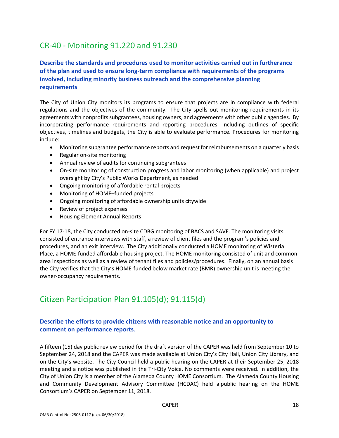# CR‐40 ‐ Monitoring 91.220 and 91.230

## **Describe the standards and procedures used to monitor activities carried out in furtherance of the plan and used to ensure long‐term compliance with requirements of the programs involved, including minority business outreach and the comprehensive planning requirements**

The City of Union City monitors its programs to ensure that projects are in compliance with federal regulations and the objectives of the community. The City spells out monitoring requirements in its agreements with nonprofits subgrantees, housing owners, and agreements with other public agencies. By incorporating performance requirements and reporting procedures, including outlines of specific objectives, timelines and budgets, the City is able to evaluate performance. Procedures for monitoring include:

- Monitoring subgrantee performance reports and request for reimbursements on a quarterly basis
- Regular on-site monitoring
- Annual review of audits for continuing subgrantees
- On-site monitoring of construction progress and labor monitoring (when applicable) and project oversight by City's Public Works Department, as needed
- Ongoing monitoring of affordable rental projects
- Monitoring of HOME–funded projects
- Ongoing monitoring of affordable ownership units citywide
- Review of project expenses
- Housing Element Annual Reports

For FY 17‐18, the City conducted on‐site CDBG monitoring of BACS and SAVE. The monitoring visits consisted of entrance interviews with staff, a review of client files and the program's policies and procedures, and an exit interview. The City additionally conducted a HOME monitoring of Wisteria Place, a HOME‐funded affordable housing project. The HOME monitoring consisted of unit and common area inspections as well as a review of tenant files and policies/procedures. Finally, on an annual basis the City verifies that the City's HOME‐funded below market rate (BMR) ownership unit is meeting the owner‐occupancy requirements.

# Citizen Participation Plan 91.105(d); 91.115(d)

## **Describe the efforts to provide citizens with reasonable notice and an opportunity to comment on performance reports**.

A fifteen (15) day public review period for the draft version of the CAPER was held from September 10 to September 24, 2018 and the CAPER was made available at Union City's City Hall, Union City Library, and on the City's website. The City Council held a public hearing on the CAPER at their September 25, 2018 meeting and a notice was published in the Tri‐City Voice. No comments were received. In addition, the City of Union City is a member of the Alameda County HOME Consortium. The Alameda County Housing and Community Development Advisory Committee (HCDAC) held a public hearing on the HOME Consortium's CAPER on September 11, 2018.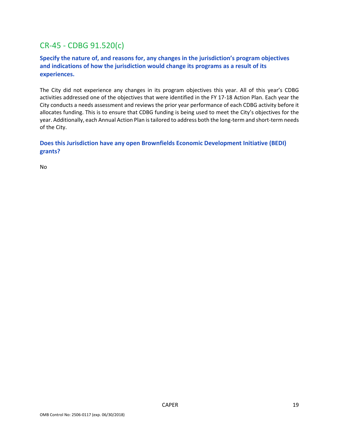# CR‐45 ‐ CDBG 91.520(c)

## **Specify the nature of, and reasons for, any changes in the jurisdiction's program objectives and indications of how the jurisdiction would change its programs as a result of its experiences.**

The City did not experience any changes in its program objectives this year. All of this year's CDBG activities addressed one of the objectives that were identified in the FY 17‐18 Action Plan. Each year the City conducts a needs assessment and reviews the prior year performance of each CDBG activity before it allocates funding. This is to ensure that CDBG funding is being used to meet the City's objectives for the year. Additionally, each Annual Action Plan is tailored to address both the long-term and short-term needs of the City.

## **Does this Jurisdiction have any open Brownfields Economic Development Initiative (BEDI) grants?**

No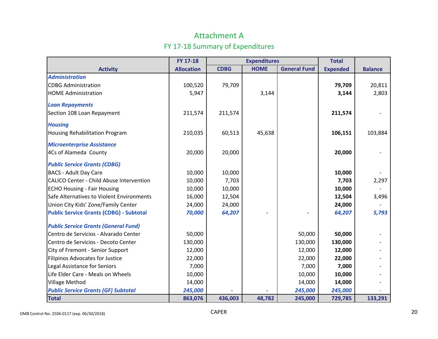# FY 17‐18 Summary of Expenditures Attachment A

|                                                 | FY 17-18          | <b>Expenditures</b> |             |                     | <b>Total</b>    |                |
|-------------------------------------------------|-------------------|---------------------|-------------|---------------------|-----------------|----------------|
| <b>Activity</b>                                 | <b>Allocation</b> | <b>CDBG</b>         | <b>HOME</b> | <b>General Fund</b> | <b>Expended</b> | <b>Balance</b> |
| <b>Administration</b>                           |                   |                     |             |                     |                 |                |
| <b>CDBG Administration</b>                      | 100,520           | 79,709              |             |                     | 79,709          | 20,811         |
| <b>HOME Administration</b>                      | 5,947             |                     | 3,144       |                     | 3,144           | 2,803          |
| <b>Loan Repayments</b>                          |                   |                     |             |                     |                 |                |
| Section 108 Loan Repayment                      | 211,574           | 211,574             |             |                     | 211,574         |                |
| <b>Housing</b>                                  |                   |                     |             |                     |                 |                |
| Housing Rehabilitation Program                  | 210,035           | 60,513              | 45,638      |                     | 106,151         | 103,884        |
| <b>Microenterprise Assistance</b>               |                   |                     |             |                     |                 |                |
| 4Cs of Alameda County                           | 20,000            | 20,000              |             |                     | 20,000          |                |
| <b>Public Service Grants (CDBG)</b>             |                   |                     |             |                     |                 |                |
| <b>BACS - Adult Day Care</b>                    | 10,000            | 10,000              |             |                     | 10,000          |                |
| <b>CALICO Center - Child Abuse Intervention</b> | 10,000            | 7,703               |             |                     | 7,703           | 2,297          |
| <b>ECHO Housing - Fair Housing</b>              | 10,000            | 10,000              |             |                     | 10,000          |                |
| Safe Alternatives to Violent Environments       | 16,000            | 12,504              |             |                     | 12,504          | 3,496          |
| Union City Kids' Zone/Family Center             | 24,000            | 24,000              |             |                     | 24,000          |                |
| <b>Public Service Grants (CDBG) - Subtotal</b>  | 70,000            | 64,207              |             |                     | 64,207          | 5,793          |
| <b>Public Service Grants (General Fund)</b>     |                   |                     |             |                     |                 |                |
| Centro de Servicios - Alvarado Center           | 50,000            |                     |             | 50,000              | 50,000          |                |
| Centro de Servicios - Decoto Center             | 130,000           |                     |             | 130,000             | 130,000         |                |
| City of Fremont - Senior Support                | 12,000            |                     |             | 12,000              | 12,000          |                |
| <b>Filipinos Advocates for Justice</b>          | 22,000            |                     |             | 22,000              | 22,000          |                |
| Legal Assistance for Seniors                    | 7,000             |                     |             | 7,000               | 7,000           |                |
| Life Elder Care - Meals on Wheels               | 10,000            |                     |             | 10,000              | 10,000          |                |
| <b>Village Method</b>                           | 14,000            |                     |             | 14,000              | 14,000          |                |
| <b>Public Service Grants (GF) Subtotal</b>      | 245,000           |                     |             | 245,000             | 245,000         |                |
| <b>Total</b>                                    | 863,076           | 436,003             | 48,782      | 245,000             | 729,785         | 133,291        |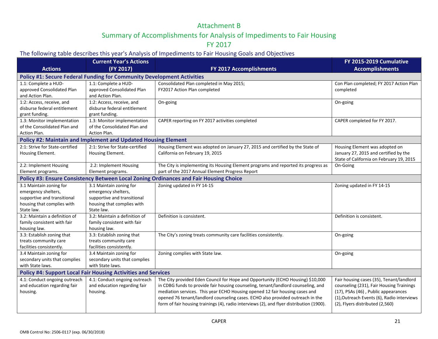# Attachment B Summary of Accomplishments for Analysis of Impediments to Fair Housing

### FY 2017

## The following table describes this year's Analysis of Impediments to Fair Housing Goals and Objectives

|                                 | <b>Current Year's Actions</b>                                                 |                                                                                          | FY 2015-2019 Cumulative                    |
|---------------------------------|-------------------------------------------------------------------------------|------------------------------------------------------------------------------------------|--------------------------------------------|
| <b>Actions</b>                  | (FY 2017)                                                                     | <b>FY 2017 Accomplishments</b>                                                           | <b>Accomplishments</b>                     |
|                                 | <b>Policy #1: Secure Federal Funding for Community Development Activities</b> |                                                                                          |                                            |
| 1.1: Complete a HUD-            | 1.1: Complete a HUD-                                                          | Consolidated Plan completed in May 2015;                                                 | Con Plan completed; FY 2017 Action Plan    |
| approved Consolidated Plan      | approved Consolidated Plan                                                    | FY2017 Action Plan completed                                                             | completed                                  |
| and Action Plan.                | and Action Plan.                                                              |                                                                                          |                                            |
| 1:2: Access, receive, and       | 1:2: Access, receive, and                                                     | On-going                                                                                 | On-going                                   |
| disburse federal entitlement    | disburse federal entitlement                                                  |                                                                                          |                                            |
| grant funding.                  | grant funding.                                                                |                                                                                          |                                            |
| 1.3: Monitor implementation     | 1.3: Monitor implementation                                                   | CAPER reporting on FY 2017 activities completed                                          | CAPER completed for FY 2017.               |
| of the Consolidated Plan and    | of the Consolidated Plan and                                                  |                                                                                          |                                            |
| Action Plan.                    | Action Plan.                                                                  |                                                                                          |                                            |
|                                 | Policy #2: Maintain and Implement and Updated Housing Element                 |                                                                                          |                                            |
| 2:1: Strive for State-certified | 2:1: Strive for State-certified                                               | Housing Element was adopted on January 27, 2015 and certified by the State of            | Housing Element was adopted on             |
| Housing Element.                | Housing Element.                                                              | California on February 19, 2015                                                          | January 27, 2015 and certified by the      |
|                                 |                                                                               |                                                                                          | State of California on February 19, 2015   |
| 2.2: Implement Housing          | 2.2: Implement Housing                                                        | The City is implementing its Housing Element programs and reported its progress as       | On-Going                                   |
| Element programs.               | Element programs.                                                             | part of the 2017 Annual Element Progress Report                                          |                                            |
|                                 |                                                                               | Policy #3: Ensure Consistency Between Local Zoning Ordinances and Fair Housing Choice    |                                            |
| 3.1 Maintain zoning for         | 3.1 Maintain zoning for                                                       | Zoning updated in FY 14-15                                                               | Zoning updated in FY 14-15                 |
| emergency shelters,             | emergency shelters,                                                           |                                                                                          |                                            |
| supportive and transitional     | supportive and transitional                                                   |                                                                                          |                                            |
| housing that complies with      | housing that complies with                                                    |                                                                                          |                                            |
| State law.                      | State law.                                                                    |                                                                                          |                                            |
| 3.2: Maintain a definition of   | 3.2: Maintain a definition of                                                 | Definition is consistent.                                                                | Definition is consistent.                  |
| family consistent with fair     | family consistent with fair                                                   |                                                                                          |                                            |
| housing law.                    | housing law.                                                                  |                                                                                          |                                            |
| 3.3: Establish zoning that      | 3.3: Establish zoning that                                                    | The City's zoning treats community care facilities consistently.                         | On-going                                   |
| treats community care           | treats community care                                                         |                                                                                          |                                            |
| facilities consistently.        | facilities consistently.                                                      |                                                                                          |                                            |
| 3.4 Maintain zoning for         | 3.4 Maintain zoning for                                                       | Zoning complies with State law.                                                          | On-going                                   |
| secondary units that complies   | secondary units that complies                                                 |                                                                                          |                                            |
| with State laws.                | with State laws.                                                              |                                                                                          |                                            |
|                                 | <b>Policy #4: Support Local Fair Housing Activities and Services</b>          |                                                                                          |                                            |
| 4.1: Conduct ongoing outreach   | 4.1: Conduct ongoing outreach                                                 | The City provided Eden Council for Hope and Opportunity (ECHO Housing) \$10,000          | Fair housing cases (35), Tenant/landlord   |
| and education regarding fair    | and education regarding fair                                                  | in CDBG funds to provide fair housing counseling, tenant/landlord counseling, and        | counseling (231), Fair Housing Trainings   |
| housing.                        | housing.                                                                      | mediation services. This year ECHO Housing opened 12 fair housing cases and              | (17), PSAs (46), Public appearances        |
|                                 |                                                                               | opened 76 tenant/landlord counseling cases. ECHO also provided outreach in the           | (1), Outreach Events (6), Radio interviews |
|                                 |                                                                               | form of fair housing trainings (4), radio interviews (2), and flyer distribution (1900). | (2), Flyers distributed (2,560)            |
|                                 |                                                                               |                                                                                          |                                            |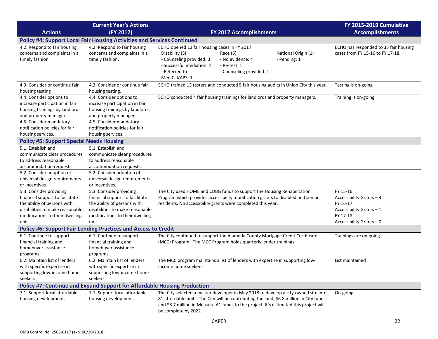|                                                                                                                                                                          | <b>Current Year's Actions</b>                                                                                                                                            |                                                                                                                                                                                                                                                                                                   | FY 2015-2019 Cumulative                                                                                              |
|--------------------------------------------------------------------------------------------------------------------------------------------------------------------------|--------------------------------------------------------------------------------------------------------------------------------------------------------------------------|---------------------------------------------------------------------------------------------------------------------------------------------------------------------------------------------------------------------------------------------------------------------------------------------------|----------------------------------------------------------------------------------------------------------------------|
| <b>Actions</b>                                                                                                                                                           | (FY 2017)                                                                                                                                                                | FY 2017 Accomplishments                                                                                                                                                                                                                                                                           | <b>Accomplishments</b>                                                                                               |
|                                                                                                                                                                          | Policy #4: Support Local Fair Housing Activities and Services Continued                                                                                                  |                                                                                                                                                                                                                                                                                                   |                                                                                                                      |
| 4.2: Respond to fair housing<br>concerns and complaints in a<br>timely fashion.                                                                                          | 4.2: Respond to fair housing<br>concerns and complaints in a<br>timely fashion.                                                                                          | ECHO opened 12 fair housing cases in FY 2017<br>Disability (5)<br>Race $(6)$<br>National Origin (1)<br>- Counseling provided: 3<br>- No evidence: 4<br>- Pending: 1<br>- Successful mediation: 1<br>- Re-test: 1<br>- Referred to<br>- Counseling provided: 1<br>MediCal/APS: 1                   | ECHO has responded to 35 fair housing<br>cases from FY 15-16 to FY 17-18.                                            |
| 4.3: Consider or continue fair                                                                                                                                           | 4.3: Consider or continue fair                                                                                                                                           | ECHO trained 13 testers and conducted 5 fair housing audits in Union City this year.                                                                                                                                                                                                              | Testing is on-going                                                                                                  |
| housing testing                                                                                                                                                          | housing testing.                                                                                                                                                         |                                                                                                                                                                                                                                                                                                   |                                                                                                                      |
| 4.4: Consider options to<br>increase participation in fair<br>housing trainings by landlords<br>and property managers.                                                   | 4.4: Consider options to<br>increase participation in fair<br>housing trainings by landlords<br>and property managers.                                                   | ECHO conducted 4 fair housing trainings for landlords and property managers.                                                                                                                                                                                                                      | Training is on-going                                                                                                 |
| 4.5: Consider mandatory<br>notification policies for fair<br>housing services.                                                                                           | 4.5: Consider mandatory<br>notification policies for fair<br>housing services.                                                                                           |                                                                                                                                                                                                                                                                                                   |                                                                                                                      |
| <b>Policy #5: Support Special Needs Housing</b>                                                                                                                          |                                                                                                                                                                          |                                                                                                                                                                                                                                                                                                   |                                                                                                                      |
| 5.1: Establish and<br>communicate clear procedures<br>to address reasonable<br>accommodation requests.                                                                   | 5.1: Establish and<br>communicate clear procedures<br>to address reasonable<br>accommodation requests.                                                                   |                                                                                                                                                                                                                                                                                                   |                                                                                                                      |
| 5.2: Consider adoption of<br>universal design requirements<br>or incentives.                                                                                             | 5.2: Consider adoption of<br>universal design requirements<br>or incentives.                                                                                             |                                                                                                                                                                                                                                                                                                   |                                                                                                                      |
| 5.3: Consider providing<br>financial support to facilitate<br>the ability of persons with<br>disabilities to make reasonable<br>modifications to their dwelling<br>unit. | 5.3: Consider providing<br>financial support to facilitate<br>the ability of persons with<br>disabilities to make reasonable<br>modifications to their dwelling<br>unit. | The City used HOME and CDBG funds to support the Housing Rehabilitation<br>Program which provides accessibility modification grants to disabled and senior<br>residents. No accessibility grants were completed this year.                                                                        | FY 15-16<br>Accessibility Grants - 3<br>FY 16-17<br>Accessibility Grants - 1<br>FY 17-18<br>Accessibility Grants - 0 |
|                                                                                                                                                                          | <b>Policy #6: Support Fair Lending Practices and Access to Credit</b>                                                                                                    |                                                                                                                                                                                                                                                                                                   |                                                                                                                      |
| 6.1: Continue to support<br>financial training and<br>homebuyer assistance<br>programs.                                                                                  | 6.1: Continue to support<br>financial training and<br>homebuyer assistance<br>programs.                                                                                  | The City continued to support the Alameda County Mortgage Credit Certificate<br>(MCC) Program. The MCC Program holds quarterly lender trainings.                                                                                                                                                  | Trainings are on-going                                                                                               |
| 6.2: Maintain list of lenders<br>with specific expertise in<br>supporting low-income home<br>seekers.                                                                    | 6.2: Maintain list of lenders<br>with specific expertise in<br>supporting low-income home<br>seekers.                                                                    | The MCC program maintains a list of lenders with expertise in supporting low-<br>income home seekers.                                                                                                                                                                                             | List maintained                                                                                                      |
|                                                                                                                                                                          | Policy #7: Continue and Expand Support for Affordable Housing Production                                                                                                 |                                                                                                                                                                                                                                                                                                   |                                                                                                                      |
| 7.1: Support local affordable<br>housing development.                                                                                                                    | 7.1: Support local affordable<br>housing development.                                                                                                                    | The City selected a master developer in May 2018 to develop a city-owned site into<br>81 affordable units. The City will be contributing the land, \$6.8 million in City funds,<br>and \$8.7 million in Measure A1 funds to the project. It's estimated this project will<br>be complete by 2022. | On-going                                                                                                             |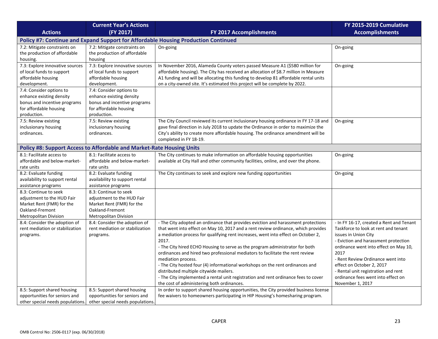|                                                                  | <b>Current Year's Actions</b>                                         |                                                                                                                                                                        | FY 2015-2019 Cumulative                                                          |
|------------------------------------------------------------------|-----------------------------------------------------------------------|------------------------------------------------------------------------------------------------------------------------------------------------------------------------|----------------------------------------------------------------------------------|
| <b>Actions</b>                                                   | (FY 2017)                                                             | FY 2017 Accomplishments                                                                                                                                                | <b>Accomplishments</b>                                                           |
|                                                                  |                                                                       | Policy #7: Continue and Expand Support for Affordable Housing Production Continued                                                                                     |                                                                                  |
| 7.2: Mitigate constraints on                                     | 7.2: Mitigate constraints on                                          | On-going                                                                                                                                                               | On-going                                                                         |
| the production of affordable                                     | the production of affordable                                          |                                                                                                                                                                        |                                                                                  |
| housing.                                                         | housing                                                               |                                                                                                                                                                        |                                                                                  |
| 7.3: Explore innovative sources                                  | 7.3: Explore innovative sources                                       | In November 2016, Alameda County voters passed Measure A1 (\$580 million for                                                                                           | On-going                                                                         |
| of local funds to support                                        | of local funds to support                                             | affordable housing). The City has received an allocation of \$8.7 million in Measure                                                                                   |                                                                                  |
| affordable housing                                               | affordable housing                                                    | A1 funding and will be allocating this funding to develop 81 affordable rental units                                                                                   |                                                                                  |
| development.                                                     | development.                                                          | on a city-owned site. It's estimated this project will be complete by 2022.                                                                                            |                                                                                  |
| 7.4: Consider options to                                         | 7.4: Consider options to                                              |                                                                                                                                                                        |                                                                                  |
| enhance existing density                                         | enhance existing density                                              |                                                                                                                                                                        |                                                                                  |
| bonus and incentive programs                                     | bonus and incentive programs                                          |                                                                                                                                                                        |                                                                                  |
| for affordable housing                                           | for affordable housing                                                |                                                                                                                                                                        |                                                                                  |
| production.                                                      | production.                                                           |                                                                                                                                                                        |                                                                                  |
| 7.5: Review existing                                             | 7.5: Review existing                                                  | The City Council reviewed its current inclusionary housing ordinance in FY 17-18 and                                                                                   | On-going                                                                         |
| inclusionary housing                                             | inclusionary housing                                                  | gave final direction in July 2018 to update the Ordinance in order to maximize the                                                                                     |                                                                                  |
| ordinances.                                                      | ordinances.                                                           | City's ability to create more affordable housing. The ordinance amendment will be                                                                                      |                                                                                  |
|                                                                  |                                                                       | completed in FY 18-19.                                                                                                                                                 |                                                                                  |
|                                                                  | Policy #8: Support Access to Affordable and Market-Rate Housing Units |                                                                                                                                                                        |                                                                                  |
| 8.1: Facilitate access to                                        | 8.1: Facilitate access to                                             | The City continues to make information on affordable housing opportunities                                                                                             | On-going                                                                         |
| affordable and below-market-                                     | affordable and below-market-                                          | available at City Hall and other community facilities, online, and over the phone.                                                                                     |                                                                                  |
| rate units                                                       | rate units                                                            |                                                                                                                                                                        |                                                                                  |
| 8.2: Evaluate funding                                            | 8.2: Evaluate funding                                                 | The City continues to seek and explore new funding opportunities                                                                                                       | On-going                                                                         |
| availability to support rental                                   | availability to support rental                                        |                                                                                                                                                                        |                                                                                  |
| assistance programs                                              | assistance programs                                                   |                                                                                                                                                                        |                                                                                  |
| 8.3: Continue to seek                                            | 8.3: Continue to seek                                                 |                                                                                                                                                                        |                                                                                  |
| adjustment to the HUD Fair                                       | adjustment to the HUD Fair                                            |                                                                                                                                                                        |                                                                                  |
| Market Rent (FMR) for the                                        | Market Rent (FMR) for the                                             |                                                                                                                                                                        |                                                                                  |
| Oakland-Fremont                                                  | Oakland-Fremont                                                       |                                                                                                                                                                        |                                                                                  |
| <b>Metropolitan Division</b>                                     | <b>Metropolitan Division</b>                                          |                                                                                                                                                                        |                                                                                  |
| 8.4: Consider the adoption of<br>rent mediation or stabilization | 8.4: Consider the adoption of<br>rent mediation or stabilization      | - The City adopted an ordinance that provides eviction and harassment protections<br>that went into effect on May 10, 2017 and a rent review ordinance, which provides | - In FY 16-17, created a Rent and Tenant<br>Taskforce to look at rent and tenant |
|                                                                  |                                                                       | a mediation process for qualifying rent increases, went into effect on October 2,                                                                                      | issues in Union City                                                             |
| programs.                                                        | programs.                                                             | 2017.                                                                                                                                                                  | - Eviction and harassment protection                                             |
|                                                                  |                                                                       | - The City hired ECHO Housing to serve as the program administrator for both                                                                                           | ordinance went into effect on May 10,                                            |
|                                                                  |                                                                       | ordinances and hired two professional mediators to facilitate the rent review                                                                                          | 2017                                                                             |
|                                                                  |                                                                       | mediation process.                                                                                                                                                     | - Rent Review Ordinance went into                                                |
|                                                                  |                                                                       | - The City hosted four (4) informational workshops on the rent ordinances and                                                                                          | effect on October 2, 2017                                                        |
|                                                                  |                                                                       | distributed multiple citywide mailers.                                                                                                                                 | - Rental unit registration and rent                                              |
|                                                                  |                                                                       | - The City implemented a rental unit registration and rent ordinance fees to cover                                                                                     | ordinance fees went into effect on                                               |
|                                                                  |                                                                       | the cost of administering both ordinances.                                                                                                                             | November 1, 2017                                                                 |
| 8.5: Support shared housing                                      | 8.5: Support shared housing                                           | In order to support shared housing opportunities, the City provided business license                                                                                   |                                                                                  |
| opportunities for seniors and                                    | opportunities for seniors and                                         | fee waivers to homeowners participating in HIP Housing's homesharing program.                                                                                          |                                                                                  |
| other special needs populations.                                 | other special needs populations.                                      |                                                                                                                                                                        |                                                                                  |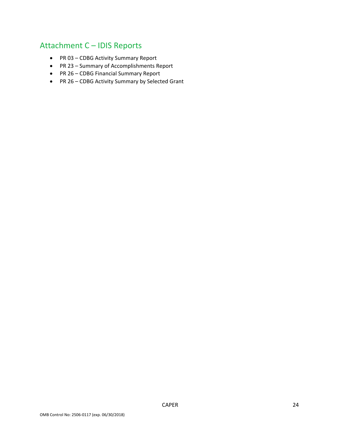# Attachment C – IDIS Reports

- PR 03 CDBG Activity Summary Report
- PR 23 Summary of Accomplishments Report
- PR 26 CDBG Financial Summary Report
- PR 26 CDBG Activity Summary by Selected Grant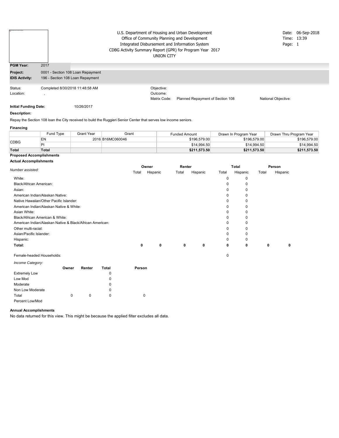|                       |                                   | <b>UNION CITY</b>        | U.S. Department of Housing and Urban Development<br>Office of Community Planning and Development<br>Integrated Disbursement and Information System<br>CDBG Activity Summary Report (GPR) for Program Year 2017 | Page: 1             | Date: 06-Sep-2018<br>Time: 13:39 |
|-----------------------|-----------------------------------|--------------------------|----------------------------------------------------------------------------------------------------------------------------------------------------------------------------------------------------------------|---------------------|----------------------------------|
| <b>PGM Year:</b>      | 2017                              |                          |                                                                                                                                                                                                                |                     |                                  |
| Project:              | 0001 - Section 108 Loan Repayment |                          |                                                                                                                                                                                                                |                     |                                  |
| <b>IDIS Activity:</b> | 196 - Section 108 Loan Repayment  |                          |                                                                                                                                                                                                                |                     |                                  |
| Status:               | Completed 8/30/2018 11:48:58 AM   | Objective:               |                                                                                                                                                                                                                |                     |                                  |
| Location:             |                                   | Outcome:<br>Matrix Code: | Planned Repayment of Section 108                                                                                                                                                                               | National Objective: |                                  |

### **Description:**

Repay the Section 108 loan the City received to build the Ruggieri Senior Center that serves low income seniors.

### **Financing**

|              | Fund Type | <b>Grant Year</b> | Grant            | <b>Funded Amount</b> | Drawn In Program Year | Drawn Thru Program Year |
|--------------|-----------|-------------------|------------------|----------------------|-----------------------|-------------------------|
| <b>CDBG</b>  | EN        |                   | 2016 B16MC060046 | \$196,579.00         | \$196.579.00          | \$196,579.00            |
|              |           |                   |                  | \$14,994.50          | \$14,994.50           | \$14.994.50             |
| <b>Total</b> | Total     |                   |                  | \$211.573.50         | \$211.573.50          | \$211,573.50            |

#### **Proposed Accomplishments Actual Accomplishments**

|                                                          |       | Owner    |       | Renter   |       | Total    |       | Person   |
|----------------------------------------------------------|-------|----------|-------|----------|-------|----------|-------|----------|
| Number assisted:                                         | Total | Hispanic | Total | Hispanic | Total | Hispanic | Total | Hispanic |
| White:                                                   |       |          |       |          | 0     | 0        |       |          |
| <b>Black/African American:</b>                           |       |          |       |          | 0     | 0        |       |          |
| Asian:                                                   |       |          |       |          | 0     | 0        |       |          |
| American Indian/Alaskan Native:                          |       |          |       |          | 0     | 0        |       |          |
| Native Hawaiian/Other Pacific Islander:                  |       |          |       |          | 0     | 0        |       |          |
| American Indian/Alaskan Native & White:                  |       |          |       |          | 0     | 0        |       |          |
| Asian White:                                             |       |          |       |          | 0     | 0        |       |          |
| Black/African American & White:                          |       |          |       |          | 0     | 0        |       |          |
| American Indian/Alaskan Native & Black/African American: |       |          |       |          | 0     | $\Omega$ |       |          |
| Other multi-racial:                                      |       |          |       |          | 0     | 0        |       |          |
| Asian/Pacific Islander:                                  |       |          |       |          | 0     | 0        |       |          |
| Hispanic:                                                |       |          |       |          | 0     | 0        |       |          |
| Total:                                                   | 0     | 0        | 0     | 0        | 0     | 0        | 0     | 0        |
|                                                          |       |          |       |          |       |          |       |          |

#### Female-headed Households: 0

| Income Category:     |       |        |       |        |
|----------------------|-------|--------|-------|--------|
|                      | Owner | Renter | Total | Person |
| <b>Extremely Low</b> |       |        | 0     |        |
| Low Mod              |       |        | 0     |        |
| Moderate             |       |        | 0     |        |
| Non Low Moderate     |       |        | 0     |        |
| Total                | 0     | 0      | 0     |        |
| Percent Low/Mod      |       |        |       |        |

### **Annual Accomplishments**

No data returned for this view. This might be because the applied filter excludes all data.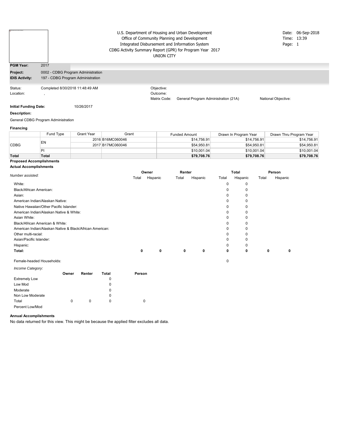| <b>THE END OF A PART OF A TIME OF A PART OF A PART OF A REPORT OF A PART OF A REPORT OF A REPORT OF A REPORT OF A</b> |                                    | UNION CITY   | U.S. Department of Housing and Urban Development<br>Office of Community Planning and Development<br>Integrated Disbursement and Information System<br>CDBG Activity Summary Report (GPR) for Program Year 2017 | Page: 1             | Date: 06-Sep-2018<br>Time: 13:39 |
|-----------------------------------------------------------------------------------------------------------------------|------------------------------------|--------------|----------------------------------------------------------------------------------------------------------------------------------------------------------------------------------------------------------------|---------------------|----------------------------------|
| <b>PGM Year:</b>                                                                                                      | 2017                               |              |                                                                                                                                                                                                                |                     |                                  |
| <b>Project:</b>                                                                                                       | 0002 - CDBG Program Administration |              |                                                                                                                                                                                                                |                     |                                  |
| <b>IDIS Activity:</b>                                                                                                 | 197 - CDBG Program Administration  |              |                                                                                                                                                                                                                |                     |                                  |
| Status:                                                                                                               | Completed 8/30/2018 11:48:49 AM    | Objective:   |                                                                                                                                                                                                                |                     |                                  |
| Location:                                                                                                             |                                    | Outcome:     |                                                                                                                                                                                                                |                     |                                  |
|                                                                                                                       |                                    | Matrix Code: | General Program Administration (21A)                                                                                                                                                                           | National Objective: |                                  |

#### **Description:**

General CDBG Program Administration

### **Financing**

|             | Fund Type                       | Grant Year | Grant            | <b>Funded Amount</b> | Drawn In Program Year | Drawn Thru Program Year |  |  |
|-------------|---------------------------------|------------|------------------|----------------------|-----------------------|-------------------------|--|--|
| <b>CDBG</b> | EN                              |            | 2016 B16MC060046 | \$14,756.91          | \$14,756.91           | \$14,756.91             |  |  |
|             |                                 |            | 2017 B17MC060046 | \$54,950.81          | \$54,950.81           | \$54,950.81             |  |  |
|             |                                 |            |                  | \$10,001.04          | \$10.001.04           | \$10.001.04             |  |  |
| Total       | Total                           |            |                  | \$79,708.76          | \$79,708.76           | \$79,708.76             |  |  |
|             | <b>Proposed Accomplishments</b> |            |                  |                      |                       |                         |  |  |

### **Actual Accomplishments**

|                                                          |       | Owner    |       | Renter   |       | Total       |       | Person   |
|----------------------------------------------------------|-------|----------|-------|----------|-------|-------------|-------|----------|
| Number assisted:                                         | Total | Hispanic | Total | Hispanic | Total | Hispanic    | Total | Hispanic |
| White:                                                   |       |          |       |          | 0     | 0           |       |          |
| Black/African American:                                  |       |          |       |          | 0     | $\mathbf 0$ |       |          |
| Asian:                                                   |       |          |       |          | 0     | $\Omega$    |       |          |
| American Indian/Alaskan Native:                          |       |          |       |          | 0     | $\mathbf 0$ |       |          |
| Native Hawaiian/Other Pacific Islander:                  |       |          |       |          | 0     | $\mathbf 0$ |       |          |
| American Indian/Alaskan Native & White:                  |       |          |       |          | 0     | $\mathbf 0$ |       |          |
| Asian White:                                             |       |          |       |          | 0     | $\Omega$    |       |          |
| Black/African American & White:                          |       |          |       |          | 0     | $\Omega$    |       |          |
| American Indian/Alaskan Native & Black/African American: |       |          |       |          | 0     | $\mathbf 0$ |       |          |
| Other multi-racial:                                      |       |          |       |          | 0     | $\mathbf 0$ |       |          |
| Asian/Pacific Islander:                                  |       |          |       |          | 0     | 0           |       |          |
| Hispanic:                                                |       |          |       |          | 0     | 0           |       |          |
| Total:                                                   | 0     | 0        | 0     | 0        | 0     | 0           | 0     | 0        |
| Female-headed Households:                                |       |          |       |          | 0     |             |       |          |

| Income Category:     |       |        |          |        |
|----------------------|-------|--------|----------|--------|
|                      | Owner | Renter | Total    | Person |
| <b>Extremely Low</b> |       |        | 0        |        |
| Low Mod              |       |        | $\Omega$ |        |
| Moderate             |       |        | $\Omega$ |        |
| Non Low Moderate     |       |        | 0        |        |
| Total                | 0     | 0      | $\Omega$ | 0      |
| Percent Low/Mod      |       |        |          |        |

### **Annual Accomplishments**

No data returned for this view. This might be because the applied filter excludes all data.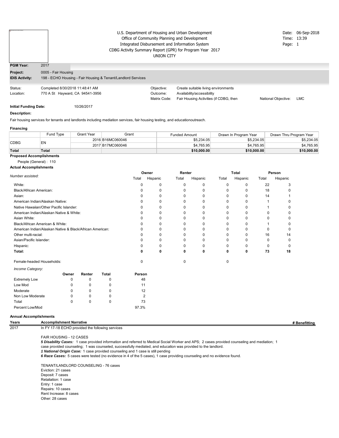| 11 This import spend surroutly businessed |                                                        | U.S. Department of Housing and Urban Development             |  |                   |                                                          |                     |     |
|-------------------------------------------|--------------------------------------------------------|--------------------------------------------------------------|--|-------------------|----------------------------------------------------------|---------------------|-----|
|                                           |                                                        | Office of Community Planning and Development                 |  |                   |                                                          |                     |     |
|                                           |                                                        |                                                              |  |                   | Integrated Disbursement and Information System           | Page: 1             |     |
|                                           |                                                        |                                                              |  |                   | CDBG Activity Summary Report (GPR) for Program Year 2017 |                     |     |
|                                           |                                                        |                                                              |  | <b>UNION CITY</b> |                                                          |                     |     |
| <b>PGM Year:</b>                          | 2017                                                   |                                                              |  |                   |                                                          |                     |     |
| Project:                                  | 0005 - Fair Housing                                    |                                                              |  |                   |                                                          |                     |     |
| <b>IDIS Activity:</b>                     |                                                        | 198 - ECHO Housing - Fair Housing & Tenant/Landlord Services |  |                   |                                                          |                     |     |
| Status:                                   | Completed 8/30/2018 11:48:41 AM                        |                                                              |  | Objective:        | Create suitable living environments                      |                     |     |
| Location:                                 |                                                        | 770 A St Hayward, CA 94541-3956                              |  | Outcome:          | Availability/accessibility                               | National Objective: |     |
|                                           | Fair Housing Activities (if CDBG, then<br>Matrix Code: |                                                              |  |                   |                                                          |                     | LMC |

### **Description:**

Fair housing services for tenants and landlords including mediation services, fair housing testing, and educationoutreach.

#### **Financing**

|             | Fund Tvpe | Grant Year | Grant            | <b>Funded Amount</b> | Drawn In Program Year | Drawn Thru Program Year |
|-------------|-----------|------------|------------------|----------------------|-----------------------|-------------------------|
| <b>CDBG</b> | EN        |            | 2016 B16MC060046 | \$5.234.05           | \$5.234.05            | \$5,234.05              |
|             |           |            | 2017 B17MC060046 | \$4.765.95           | \$4.765.95            | \$4,765.95              |
| Total       | Total     |            |                  | \$10,000.00          | \$10,000.00           | \$10,000.00             |

### **Proposed Accomplishments**

#### People (General) : 110 **Actual Accomplishments**

|                                                          |        |              |              | Owner    |       | Renter       |              | Total        |       | Person       |  |
|----------------------------------------------------------|--------|--------------|--------------|----------|-------|--------------|--------------|--------------|-------|--------------|--|
| Number assisted:                                         |        |              | Total        | Hispanic | Total | Hispanic     | Total        | Hispanic     | Total | Hispanic     |  |
| White:                                                   |        |              | $\Omega$     | 0        | 0     | 0            | 0            | 0            | 22    | 3            |  |
| Black/African American:                                  |        |              | <sup>0</sup> | O        | 0     | 0            | 0            | 0            | 18    | 0            |  |
| Asian:                                                   |        |              | <sup>0</sup> | ŋ        | 0     | 0            | 0            | 0            | 14    |              |  |
| American Indian/Alaskan Native:                          |        |              |              | O        | 0     | 0            | 0            | 0            | 1     | $\Omega$     |  |
| Native Hawaiian/Other Pacific Islander:                  |        |              |              | ŋ        | 0     | 0            | O            | 0            |       | <sup>0</sup> |  |
| American Indian/Alaskan Native & White:                  |        |              |              | ŋ        | 0     | 0            | U            | n            | n     | <sup>0</sup> |  |
| Asian White:                                             |        | $\Omega$     | 0            | 0        | O     | 0            | O            | <sup>0</sup> |       |              |  |
| Black/African American & White:                          |        | ŋ            | 0            | 0        | U     | <sup>0</sup> |              | <sup>0</sup> |       |              |  |
| American Indian/Alaskan Native & Black/African American: |        |              |              | ŋ        | 0     | 0            | <sup>0</sup> | <sup>0</sup> | O     | <sup>0</sup> |  |
| Other multi-racial:                                      |        | n            | <sup>0</sup> | 0        | U     | 0            | 16           | 14           |       |              |  |
| Asian/Pacific Islander:                                  |        | $\Omega$     | 0            | 0        | 0     | $\Omega$     | 0            | $\Omega$     |       |              |  |
| Hispanic:                                                |        |              |              | $\Omega$ | 0     | 0            | O            | 0            | 0     | <sup>0</sup> |  |
| Total:                                                   |        |              | 0            | 0        | 0     | 0            | 0            | 0            | 73    | 18           |  |
| Female-headed Households:                                |        |              | $\Omega$     |          | 0     |              | $\Omega$     |              |       |              |  |
| Income Category:                                         |        |              |              |          |       |              |              |              |       |              |  |
| Owner                                                    | Renter | <b>Total</b> | Person       |          |       |              |              |              |       |              |  |
| <b>Extremely Low</b><br>$\Omega$                         | 0      | 0            | 48           |          |       |              |              |              |       |              |  |
| Low Mod<br>0                                             | 0      | 0            | 11           |          |       |              |              |              |       |              |  |
| Moderate<br>$\Omega$                                     | 0      | 0            | 12           |          |       |              |              |              |       |              |  |
| Non Low Moderate<br>0                                    | 0      | 0            | 2            |          |       |              |              |              |       |              |  |
| Total<br>0                                               | 0      | 0            | 73           |          |       |              |              |              |       |              |  |
| Percent Low/Mod                                          |        |              | 97.3%        |          |       |              |              |              |       |              |  |

#### **Annual Accomplishments**

| Years | <b>Accomplishment Narrative</b>                             | Benefitting |
|-------|-------------------------------------------------------------|-------------|
| 2017  | ''<br>the<br>following services •<br>rovided<br>٠Π١.<br>. . |             |

FAIR HOUSING - 12 CASES

*5 Disability Cases:* 1 case provided information and referred to Medical Social Worker and APS; 2 cases provided counseling and mediation; 1

case provided counseling; 1 was counseled, successfully mediated, and education was provided to the landlord.

*1 National Origin Case:* 1 case provided counseling and 1 case is still pending

*6 Race Cases:* 5 cases were tested (no evidence in 4 of the 5 cases), 1 case providing counseling and no evidence found.

TENANT/LANDLORD COUNSELING - 76 cases Eviction: 21 cases Deposit: 7 cases Retaliation: 1 case Entry: 1 case Repairs: 10 cases Rent Increase: 8 cases Other: 28 cases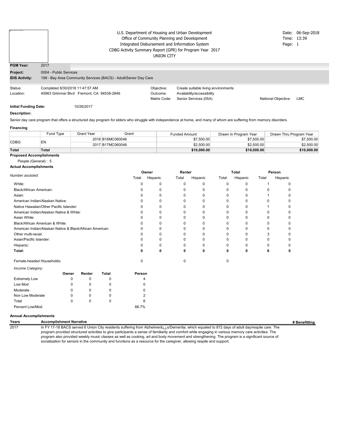| The image named notwelly incidents will |                                 | U.S. Department of Housing and Urban Development<br>Office of Community Planning and Development<br>Integrated Disbursement and Information System<br>CDBG Activity Summary Report (GPR) for Program Year 2017 | Page: 1                                | Date: 06-Sep-2018<br>Time: 13:39                                                           |                     |            |
|-----------------------------------------|---------------------------------|----------------------------------------------------------------------------------------------------------------------------------------------------------------------------------------------------------------|----------------------------------------|--------------------------------------------------------------------------------------------|---------------------|------------|
| <b>PGM Year:</b>                        | 2017                            |                                                                                                                                                                                                                |                                        |                                                                                            |                     |            |
| Project:                                | 0004 - Public Services          |                                                                                                                                                                                                                |                                        |                                                                                            |                     |            |
| <b>IDIS Activity:</b>                   |                                 | 199 - Bay Area Community Services (BACS) - Adult/Senior Day Care                                                                                                                                               |                                        |                                                                                            |                     |            |
| Status:<br>Location:                    | Completed 8/30/2018 11:47:57 AM | 40963 Grimmer Blvd Fremont, CA 94538-2846                                                                                                                                                                      | Objective:<br>Outcome:<br>Matrix Code: | Create suitable living environments<br>Availability/accessibility<br>Senior Services (05A) | National Objective: | <b>LMC</b> |

#### **Description:**

Senior day care program that offers a structured day program for elders who struggle with independence at home, and many of whom are suffering from memory disorders.

#### **Financing**

|              | Fund Type | <b>Grant Year</b> | Grant            | Funded Amount | Drawn In Program Year | Drawn Thru Program Year |
|--------------|-----------|-------------------|------------------|---------------|-----------------------|-------------------------|
| <b>CDBG</b>  | EN        |                   | 2016 B16MC060046 | \$7.500.00    | \$7,500.00            | \$7,500.00              |
|              |           |                   | 2017 B17MC060046 | \$2,500.00    | \$2.500.00            | \$2,500.00              |
| <b>Total</b> | Total     |                   |                  | \$10,000,00   | \$10,000,00           | \$10,000,00             |

### **Proposed Accomplishments**

### People (General) : 5

|                                                          |              |              |              | Owner    |              | Renter       |          | Total        |          | Person |              |
|----------------------------------------------------------|--------------|--------------|--------------|----------|--------------|--------------|----------|--------------|----------|--------|--------------|
| Number assisted:                                         |              |              |              | Total    | Hispanic     | Total        | Hispanic | Total        | Hispanic | Total  | Hispanic     |
| White:                                                   |              |              |              | n        | $\Omega$     | $\Omega$     | 0        | 0            | 0        |        | <sup>0</sup> |
| Black/African American:                                  |              |              |              |          | 0            | <sup>0</sup> | 0        | 0            | 0        | 0      | n            |
| Asian:                                                   |              |              |              | n        | <sup>0</sup> | U            | 0        | $\Omega$     | $\Omega$ |        | <sup>0</sup> |
| American Indian/Alaskan Native:                          |              |              |              |          | 0            | 0            | 0        | 0            | $\Omega$ | 0      | n            |
| Native Hawaiian/Other Pacific Islander:                  |              | 0            | 0            | 0        | $\Omega$     | $\Omega$     |          | n            |          |        |              |
| American Indian/Alaskan Native & White:                  |              | <sup>0</sup> | U            | 0        | $\Omega$     | 0            | 0        | <sup>0</sup> |          |        |              |
| Asian White:                                             |              |              | <sup>0</sup> | ŋ        | 0            | 0            | $\Omega$ | 0            | n        |        |              |
| Black/African American & White:                          |              | n            | ი            | 0        | 0            | 0            | 0        | <sup>0</sup> |          |        |              |
| American Indian/Alaskan Native & Black/African American: |              |              |              |          | $\Omega$     | U            | $\Omega$ | $\Omega$     | $\Omega$ | 0      | <sup>0</sup> |
| Other multi-racial:                                      |              |              |              |          | <sup>0</sup> | n            | 0        | 0            | 0        | 3      | <sup>0</sup> |
| Asian/Pacific Islander:                                  |              |              |              |          | <sup>0</sup> | U            | 0        | 0            | 0        | 0      | <sup>0</sup> |
| Hispanic:                                                |              |              |              |          |              |              | 0        | 0            | 0        | 0      | n            |
| Total:                                                   |              |              |              | n        | 0            | 0            | 0        | 0            | 0        | 6      | 0            |
| Female-headed Households:                                |              |              |              | $\Omega$ |              | 0            |          | 0            |          |        |              |
| Income Category:                                         |              |              |              |          |              |              |          |              |          |        |              |
|                                                          | Owner        | Renter       | Total        | Person   |              |              |          |              |          |        |              |
| <b>Extremely Low</b>                                     | 0            | 0            | $\Omega$     | 4        |              |              |          |              |          |        |              |
| Low Mod                                                  |              | 0            | 0            | 0        |              |              |          |              |          |        |              |
| Moderate                                                 |              | 0            | $\Omega$     |          |              |              |          |              |          |        |              |
| Non Low Moderate                                         | <sup>0</sup> | 0            | $\Omega$     | 2        |              |              |          |              |          |        |              |
| Total                                                    | 0            | 0            | $\mathbf 0$  | 6        |              |              |          |              |          |        |              |
| Percent Low/Mod                                          |              |              |              | 66.7%    |              |              |          |              |          |        |              |

### **Annual Accomplishments**

**Years** Accomplishment Narrative<br>
2017 **19 In FY 17-18 BACS** served 6 Union City residents suffering from Alzheimerâ<sub>t is</sub>/Dementia, which equated to 872 days of adult day/respite care. The **# Benefitting** In FY 17-18 BACS served 6 Union City residents suffering from Alzheimerâ¿¿s/Dementia, which equated to 872 days of adult day/respite care. The program provided structured activities to give participants a sense of familiarity and comfort while engaging in various memory care activities. The program also provided weekly music classes as well as cooking, art and body movement and strengthening. The program is a significant source of socialization for seniors in the community and functions as a resource for the caregiver, allowing respite and support.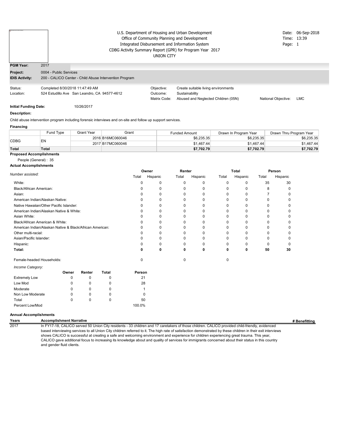| A 41 YO F REAL PARTIES AND RESIDENCE. |      |                                                                                  |  | <b>UNION CITY</b> | U.S. Department of Housing and Urban Development<br>Office of Community Planning and Development<br>Integrated Disbursement and Information System<br>CDBG Activity Summary Report (GPR) for Program Year 2017 | Page: 1             | Date: 06-Sep-2018<br>Time: 13:39 |  |  |  |
|---------------------------------------|------|----------------------------------------------------------------------------------|--|-------------------|----------------------------------------------------------------------------------------------------------------------------------------------------------------------------------------------------------------|---------------------|----------------------------------|--|--|--|
| <b>PGM Year:</b>                      | 2017 |                                                                                  |  |                   |                                                                                                                                                                                                                |                     |                                  |  |  |  |
| Project:<br><b>IDIS Activity:</b>     |      | 0004 - Public Services<br>200 - CALICO Center - Child Abuse Intervention Program |  |                   |                                                                                                                                                                                                                |                     |                                  |  |  |  |
| Status:<br>Location:                  |      | Completed 8/30/2018 11:47:49 AM<br>524 Estudillo Ave San Leandro, CA 94577-4612  |  |                   | Create suitable living environments<br>Sustainability<br>Abused and Neglected Children (05N)                                                                                                                   | National Objective: | <b>LMC</b>                       |  |  |  |

#### **Description:**

Child abuse intervention program including forensic interviews and on-site and follow up support services.

#### **Financing**

|             | Fund Type | Grant Year | Grant            | Funded Amount | Drawn In Program Year | Drawn Thru Program Year |
|-------------|-----------|------------|------------------|---------------|-----------------------|-------------------------|
| <b>CDBG</b> | EN        |            | 2016 B16MC060046 | \$6.235.35    | \$6,235.35            | \$6,235.35              |
|             |           |            | 2017 B17MC060046 | \$1,467.44    | \$1,467.44            | \$1,467.44              |
| Total       | Total     |            |                  | \$7,702.79    | \$7,702.79            | \$7,702.79              |

#### **Proposed Accomplishments**

People (General) : 35

#### **Actual Accomplishments**

|                                                          |              |              |              | Owner        |              | Renter       |              | <b>Total</b> |          | Person       |              |
|----------------------------------------------------------|--------------|--------------|--------------|--------------|--------------|--------------|--------------|--------------|----------|--------------|--------------|
| Number assisted:                                         |              |              |              | Total        | Hispanic     | Total        | Hispanic     | Total        | Hispanic | Total        | Hispanic     |
| White:                                                   |              |              |              | 0            | 0            | $\Omega$     | 0            | 0            | 0        | 35           | 30           |
| Black/African American:                                  |              |              |              | $\Omega$     | 0            | <sup>0</sup> | $\Omega$     | $\Omega$     | $\Omega$ | 8            | <sup>0</sup> |
| Asian:                                                   |              |              |              | <sup>0</sup> | $\Omega$     | 0            | $\Omega$     | $\Omega$     | 0        |              | <sup>0</sup> |
| American Indian/Alaskan Native:                          |              |              |              | <sup>0</sup> | <sup>0</sup> | <sup>0</sup> | $\Omega$     | $\Omega$     | $\Omega$ | <sup>0</sup> | ŋ            |
| Native Hawaiian/Other Pacific Islander:                  | <sup>0</sup> | 0            | <sup>0</sup> | $\Omega$     | $\Omega$     | $\Omega$     | <sup>0</sup> | O            |          |              |              |
| American Indian/Alaskan Native & White:                  | n            | $\Omega$     | <sup>0</sup> | $\Omega$     | $\Omega$     | 0            | <sup>0</sup> |              |          |              |              |
| Asian White:                                             | <sup>0</sup> | <sup>0</sup> | <sup>0</sup> | $\Omega$     | $\Omega$     | $\Omega$     | <sup>0</sup> |              |          |              |              |
| Black/African American & White:                          | <sup>0</sup> | 0            | <sup>0</sup> | 0            | 0            | 0            | <sup>0</sup> |              |          |              |              |
| American Indian/Alaskan Native & Black/African American: |              |              |              | <sup>0</sup> | $\Omega$     | <sup>0</sup> | $\Omega$     | $\Omega$     | $\Omega$ | <sup>0</sup> | <sup>0</sup> |
| Other multi-racial:                                      |              |              |              | <sup>0</sup> | 0            | <sup>0</sup> | 0            | 0            | 0        | <sup>0</sup> |              |
| Asian/Pacific Islander:                                  |              |              |              | $\Omega$     | $\Omega$     | <sup>0</sup> | $\Omega$     | $\Omega$     | $\Omega$ | <sup>0</sup> | <sup>0</sup> |
| Hispanic:                                                |              |              |              | <sup>0</sup> | 0            | <sup>0</sup> | $\Omega$     | 0            | 0        | <sup>0</sup> | O            |
| Total:                                                   |              |              |              | 0            | 0            | 0            | 0            | 0            | 0        | 50           | 30           |
| Female-headed Households:                                |              |              |              | 0            |              | $\Omega$     |              | 0            |          |              |              |
| Income Category:                                         |              |              |              |              |              |              |              |              |          |              |              |
|                                                          | Owner        | Renter       | Total        | Person       |              |              |              |              |          |              |              |
| <b>Extremely Low</b>                                     | 0            | 0            | $\Omega$     | 21           |              |              |              |              |          |              |              |
| Low Mod                                                  | 0            | 0            | $\Omega$     | 28           |              |              |              |              |          |              |              |
| Moderate                                                 | $\Omega$     | 0            | O            |              |              |              |              |              |          |              |              |
| Non Low Moderate                                         | $\Omega$     | $\Omega$     | 0            | O            |              |              |              |              |          |              |              |
| Total                                                    | 0            | $\Omega$     | $\Omega$     | 50           |              |              |              |              |          |              |              |
| Percent Low/Mod                                          |              |              |              | 100.0%       |              |              |              |              |          |              |              |

#### **Annual Accomplishments**

**Years** Accomplishment Narrative<br> **Example 2017** an EY17-18, CALICO served 50 Union City residents - 33 children and 17 caretakers of those children. CALICO provided child-friendly, evidenced **# Benefitting** In FY17-18, CALICO served 50 Union City residents - 33 children and 17 caretakers of those children. CALICO provided child-friendly, evidenced based interviewing services to all Union City children referred to it. The high rate of satisfaction demonstrated by these children in their exit interviews shows CALICO is successful at creating a safe and welcoming environment and experience for children experiencing great trauma. This year, CALICO gave additional focus to increasing its knowledge about and quality of services for immigrants concerned about their status in this country and gender fluid clients.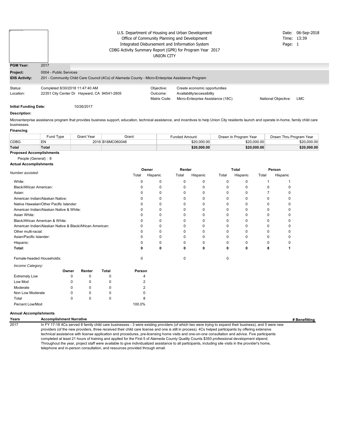|                                                                                                        |                        | U.S. Department of Housing and Urban Development<br>Office of Community Planning and Development<br>Integrated Disbursement and Information System<br>CDBG Activity Summary Report (GPR) for Program Year 2017<br><b>UNION CITY</b> |                                                                                                       |  |                                   |  |      |  |  |
|--------------------------------------------------------------------------------------------------------|------------------------|-------------------------------------------------------------------------------------------------------------------------------------------------------------------------------------------------------------------------------------|-------------------------------------------------------------------------------------------------------|--|-----------------------------------|--|------|--|--|
| <b>PGM Year:</b>                                                                                       | 2017                   |                                                                                                                                                                                                                                     |                                                                                                       |  |                                   |  |      |  |  |
| Project:                                                                                               | 0004 - Public Services |                                                                                                                                                                                                                                     |                                                                                                       |  |                                   |  |      |  |  |
| <b>IDIS Activity:</b>                                                                                  |                        | 201 - Community Child Care Council (4Cs) of Alameda County - Micro-Enterprise Assistance Program                                                                                                                                    |                                                                                                       |  |                                   |  |      |  |  |
| Status:<br>Completed 8/30/2018 11:47:40 AM<br>22351 City Center Dr Hayward, CA 94541-2805<br>Location: |                        |                                                                                                                                                                                                                                     | Objective:<br>Create economic opportunities<br>Availability/accessibility<br>Outcome:<br>Matrix Code: |  | National Objective:               |  | LMC. |  |  |
|                                                                                                        |                        |                                                                                                                                                                                                                                     |                                                                                                       |  | Micro-Enterprise Assistance (18C) |  |      |  |  |

#### **Description:**

Microenterprise assistance program that provides business support, education, technical assistance, and incentives to help Union City residents launch and operate in-home, family child care businesses.

|  |  |  | Financing |  |
|--|--|--|-----------|--|
|  |  |  |           |  |

|             | Fund Type | <b>Grant Year</b> | Grant            | Funded Amount | Drawn In Program Year | ነ Thru Proɑram Year<br>Drawn |
|-------------|-----------|-------------------|------------------|---------------|-----------------------|------------------------------|
| <b>CDBG</b> | E٨        |                   | 2016 B16MC060046 | \$20,000.00   | \$20,000.00           | \$20,000.00                  |
| Total       | Total     |                   |                  | \$20,000,00   | \$20,000.00           | \$20,000.00                  |

#### **Proposed Accomplishments**

People (General) : 8

#### **Actual Accomplishments**

|                                                          |              |          | Owner        |              |              | Renter       |          | <b>Total</b> |          | Person   |          |
|----------------------------------------------------------|--------------|----------|--------------|--------------|--------------|--------------|----------|--------------|----------|----------|----------|
| Number assisted:                                         |              |          |              | Total        | Hispanic     | Total        | Hispanic | Total        | Hispanic | Total    | Hispanic |
| White:                                                   |              |          |              | $\Omega$     | 0            | $\Omega$     | $\Omega$ | 0            | 0        | 1        |          |
| Black/African American:                                  | <sup>0</sup> | 0        | 0            | 0            | 0            | O            | $\Omega$ |              |          |          |          |
| Asian:                                                   | $\Omega$     | 0        | <sup>0</sup> | 0            | 0            | U            |          |              |          |          |          |
| American Indian/Alaskan Native:                          | <sup>0</sup> | 0        | ŋ            | <sup>0</sup> | 0            | ŋ            | $\Omega$ |              |          |          |          |
| Native Hawaiian/Other Pacific Islander:                  |              |          |              | $\Omega$     | 0            | <sup>0</sup> | 0        | 0            | ŋ        | $\Omega$ |          |
| American Indian/Alaskan Native & White:                  |              |          |              | $\Omega$     | 0            | 0            | 0        | 0            | O        | $\Omega$ |          |
| Asian White:                                             | <sup>0</sup> | 0        | 0            | 0            | 0            | n            | $\Omega$ |              |          |          |          |
| Black/African American & White:                          | <sup>0</sup> | 0        | n            | 0            | 0            | ŋ            | $\Omega$ |              |          |          |          |
| American Indian/Alaskan Native & Black/African American: | <sup>0</sup> | 0        | ŋ            | 0            | <sup>0</sup> | n            | $\Omega$ |              |          |          |          |
| Other multi-racial:                                      |              |          |              | n            | <sup>0</sup> | n            | 0        | 0            |          | 0        |          |
| Asian/Pacific Islander:                                  |              |          |              | <sup>0</sup> | $\Omega$     | 0            | $\Omega$ | 0            | n        | $\Omega$ |          |
| Hispanic:                                                |              |          |              |              | 0            | ŋ            | 0        | 0            |          | $\Omega$ |          |
| Total:                                                   |              |          |              | n            | $\Omega$     | 0            | 0        | 0            | 0        | 8        |          |
| Female-headed Households:                                |              |          |              | $\Omega$     |              | 0            |          | 0            |          |          |          |
| Income Category:                                         |              |          |              |              |              |              |          |              |          |          |          |
|                                                          | Owner        | Renter   | Total        | Person       |              |              |          |              |          |          |          |
| <b>Extremely Low</b>                                     | n            | 0        | 0            |              |              |              |          |              |          |          |          |
| Low Mod                                                  | o            | 0        | 0            |              | 2            |              |          |              |          |          |          |
| Moderate                                                 | n            | $\Omega$ | 0            |              | 2            |              |          |              |          |          |          |
| Non Low Moderate                                         | 0            | $\Omega$ | 0            |              |              |              |          |              |          |          |          |
| Total                                                    | 0            | 0        | 0            |              |              |              |          |              |          |          |          |
| Percent Low/Mod                                          |              |          |              | 100.0%       |              |              |          |              |          |          |          |

#### **Annual Accomplishments**

**Years** Accomplishment Narrative<br> **Example 2017** The FY 17-18 4Cs served 8 family child care businesses - 3 were existing providers (of which two were trying to expand their business), and 5 were new 2017 In FY 17-18 4Cs served 8 family child care businesses - 3 were existing providers (of which two were trying to expand their business), and 5 were new providers (of the new providers, three received their child care license and one is still in process). 4Cs helped participants by offering extensive technical assistance with license application and procedures, pre-licensing home visits and one-on-one consultation and advice. Five participants completed at least 21 hours of training and applied for the First 5 of Alameda County Quality Counts \$350 professional development stipend. Throughout the year, project staff were available to give individualized assistance to all participants, including site visits in the provider's home, telephone and in-person consultation, and resources provided through email.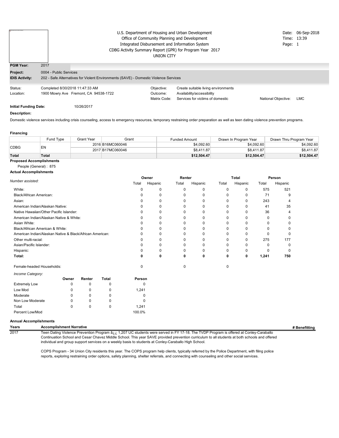| <b>I THE FURNY CARD AND STREET THE ENERGY</b> |                                                                                                                |                                       |  | <b>UNION CITY</b>                      | U.S. Department of Housing and Urban Development<br>Office of Community Planning and Development<br>Integrated Disbursement and Information System<br>CDBG Activity Summary Report (GPR) for Program Year 2017 | Page: 1             | Date: 06-Sep-2018<br>Time: 13:39 |  |  |
|-----------------------------------------------|----------------------------------------------------------------------------------------------------------------|---------------------------------------|--|----------------------------------------|----------------------------------------------------------------------------------------------------------------------------------------------------------------------------------------------------------------|---------------------|----------------------------------|--|--|
| <b>PGM Year:</b>                              | 2017                                                                                                           |                                       |  |                                        |                                                                                                                                                                                                                |                     |                                  |  |  |
| Project:<br><b>IDIS Activity:</b>             | 0004 - Public Services<br>202 - Safe Alternatives for Violent Environments (SAVE) - Domestic Violence Services |                                       |  |                                        |                                                                                                                                                                                                                |                     |                                  |  |  |
| Status:<br>Location:                          | Completed 8/30/2018 11:47:33 AM                                                                                | 1900 Mowry Ave Fremont, CA 94538-1722 |  | Objective:<br>Outcome:<br>Matrix Code: | Create suitable living environments<br>Availability/accessibility<br>Services for victims of domestic                                                                                                          | National Objective: | <b>LMC</b>                       |  |  |

**Description:**

**Initial Funding Date:** 10/26/2017

Domestic violence services including crisis counseling, access to emergency resources, temporary restraining order preparation as well as teen dating violence prevention programs.

#### **Financing**

|                   | Fund Type | Grant Year       | Grant      | <b>Funded Amount</b> | Drawn In Program Year | Drawn Thru Program Year |
|-------------------|-----------|------------------|------------|----------------------|-----------------------|-------------------------|
| <b>CDBG</b><br>EN |           | 2016 B16MC060046 | \$4,092.60 | \$4,092.60           | \$4,092.60            |                         |
|                   |           | 2017 B17MC060046 | \$8,411.87 | \$8,411.87           | \$8,411.87            |                         |
| Total             | Total     |                  |            | \$12.504.47          | \$12,504.47           | \$12,504.47             |

### **Proposed Accomplishments**

People (General) : 875 **Actual Accomplishments**

|                                                          |        | Owner    | Renter       |          |              | Total    |              | Person   |
|----------------------------------------------------------|--------|----------|--------------|----------|--------------|----------|--------------|----------|
| Number assisted:                                         | Total  | Hispanic | Total        | Hispanic | Total        | Hispanic | Total        | Hispanic |
| White:                                                   |        | $\Omega$ | $\Omega$     | 0        | 0            | $\Omega$ | 575          | 521      |
| <b>Black/African American:</b>                           |        |          | 0            | 0        | 0            | 0        | 71           | 9        |
| Asian:                                                   |        |          | 0            | 0        | <sup>0</sup> | 0        | 243          |          |
| American Indian/Alaskan Native:                          |        |          | 0            | O        | O            | $\Omega$ | 41           | 35       |
| Native Hawaiian/Other Pacific Islander:                  |        |          | U            |          |              | 0        | 36           |          |
| American Indian/Alaskan Native & White:                  |        |          |              |          |              | 0        | $\Omega$     |          |
| Asian White:                                             |        |          | <sup>0</sup> |          |              | $\Omega$ | $\Omega$     | O        |
| Black/African American & White:                          |        |          | U            | O        |              | $\Omega$ | 0            |          |
| American Indian/Alaskan Native & Black/African American: |        |          | <sup>0</sup> |          |              | $\Omega$ | <sup>0</sup> |          |
| Other multi-racial:                                      |        |          | <sup>0</sup> |          |              | $\Omega$ | 275          | 177      |
| Asian/Pacific Islander:                                  |        |          |              |          |              | $\Omega$ | $\Omega$     | $\Omega$ |
| Hispanic:                                                |        |          | U            |          |              | $\Omega$ | ŋ            | n        |
| Total:                                                   |        | 0        | 0            | 0        | 0            | 0        | 1,241        | 750      |
| Female-headed Households:                                |        |          | <sup>0</sup> |          | $\Omega$     |          |              |          |
| Income Category:                                         |        |          |              |          |              |          |              |          |
| Total<br>Owner<br>Renter                                 | Person |          |              |          |              |          |              |          |
| <b>Extremely Low</b><br>$\Omega$<br>U<br>n               |        | n        |              |          |              |          |              |          |

| <b>Extremely Low</b> | 0 | 0 |        |
|----------------------|---|---|--------|
| Low Mod              | 0 | 0 | 1.241  |
| Moderate             | 0 |   | 0      |
| Non Low Moderate     | 0 |   |        |
| Total                | 0 | 0 | 1.241  |
| Percent Low/Mod      |   |   | 100.0% |

#### **Annual Accomplishments**

**Years** Accomplishment Narrative<br> **Example 2017** Teen Dating Violence Prevention Program  $\frac{\partial}{\partial t}$ , 1,207 UC students were served in FY 17-18. The TVDP Program is offered at Conley-Caraballo 2017 Teen Dating Violence Prevention Program â¿¿ 1,207 UC students were served in FY 17-18. The TVDP Program is offered at Conley-Caraballo Continuation School and Cesar Chavez Middle School. This year SAVE provided prevention curriculum to all students at both schools and offered individual and group support services on a weekly basis to students at Conley-Caraballo High School.

> COPS Program - 34 Union City residents this year. The COPS program help clients, typically referred by the Police Department, with filing police reports, exploring restraining order options, safety planning, shelter referrals, and connecting with counseling and other social services.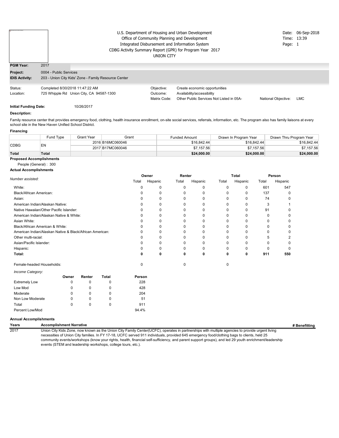| 1. Dia inapr sanni surranty its slapin on |                                                                                |                                                                             |  | <b>UNION CITY</b>                      | U.S. Department of Housing and Urban Development<br>Office of Community Planning and Development<br>Integrated Disbursement and Information System<br>CDBG Activity Summary Report (GPR) for Program Year 2017 | Page: 1             | Date: 06-Sep-2018<br>Time: 13:39 |  |  |
|-------------------------------------------|--------------------------------------------------------------------------------|-----------------------------------------------------------------------------|--|----------------------------------------|----------------------------------------------------------------------------------------------------------------------------------------------------------------------------------------------------------------|---------------------|----------------------------------|--|--|
| <b>PGM Year:</b>                          | 2017                                                                           |                                                                             |  |                                        |                                                                                                                                                                                                                |                     |                                  |  |  |
| Project:<br><b>IDIS Activity:</b>         | 0004 - Public Services<br>203 - Union City Kids' Zone - Family Resource Center |                                                                             |  |                                        |                                                                                                                                                                                                                |                     |                                  |  |  |
| Status:<br>Location:                      |                                                                                | Completed 8/30/2018 11:47:22 AM<br>725 Whipple Rd Union City, CA 94587-1300 |  | Objective:<br>Outcome:<br>Matrix Code: | Create economic opportunities<br>Availability/accessibility<br>Other Public Services Not Listed in 05A-                                                                                                        | National Objective: | LMC                              |  |  |

#### **Description:**

Family resource center that provides emergency food, clothing, health insurance enrollment, on-site social services, referrals, information, etc. The program also has family liaisons at every school site in the New Haven Unified School District.

#### **Financing**

|                | Fund Type | <b>Grant Year</b> | Grant            | <b>Funded Amount</b> | Drawn In Program Year | Drawn Thru Program Year |
|----------------|-----------|-------------------|------------------|----------------------|-----------------------|-------------------------|
|                |           |                   | 2016 B16MC060046 | \$16.842.44          | \$16.842.44           | \$16,842,44             |
| CDBG<br>EN     |           | 2017 B17MC060046  | \$7.157.56       | \$7.157.56           | \$7,157.56            |                         |
| Total<br>Total |           |                   |                  | \$24,000.00          | \$24,000.00           | \$24,000.00             |

#### **Proposed Accomplishments**

#### People (General) : 300 **Actual Accomplishments**

|                                                          |       |          | Owner        |              | Renter   |          | <b>Total</b> |          | Person   |             |          |
|----------------------------------------------------------|-------|----------|--------------|--------------|----------|----------|--------------|----------|----------|-------------|----------|
| Number assisted:                                         |       |          |              | Total        | Hispanic | Total    | Hispanic     | Total    | Hispanic | Total       | Hispanic |
| White:                                                   |       |          |              | $\Omega$     | $\Omega$ | 0        | 0            | 0        | 0        | 601         | 547      |
| Black/African American:                                  |       |          |              | $\Omega$     | $\Omega$ | 0        | 0            | $\Omega$ | 0        | 137         | $\Omega$ |
| Asian:                                                   |       |          |              | <sup>0</sup> | $\Omega$ | $\Omega$ | 0            | $\Omega$ | 0        | 74          | $\Omega$ |
| American Indian/Alaskan Native:                          |       |          |              | ŋ            | $\Omega$ | $\Omega$ | 0            | 0        | 0        | 3           |          |
| Native Hawaiian/Other Pacific Islander:                  |       |          |              | ŋ            | $\Omega$ | $\Omega$ | $\Omega$     | 0        | $\Omega$ | 91          | 0        |
| American Indian/Alaskan Native & White:                  | ŋ     | $\Omega$ | 0            | $\mathbf 0$  | 0        | 0        | 0            | 0        |          |             |          |
| Asian White:                                             |       |          | n            | $\Omega$     | 0        | $\Omega$ | <sup>0</sup> | $\Omega$ | 0        | 0           |          |
| Black/African American & White:                          |       |          | n            | $\Omega$     | 0        | $\Omega$ | 0            | $\Omega$ | $\Omega$ | 0           |          |
| American Indian/Alaskan Native & Black/African American: | O     | $\Omega$ | <sup>0</sup> | $\Omega$     | 0        | 0        | 0            | 0        |          |             |          |
| Other multi-racial:                                      |       |          |              | ŋ            | $\Omega$ | 0        | 0            | 0        | $\Omega$ | 5           | 2        |
| Asian/Pacific Islander:                                  |       |          |              | 0            | $\Omega$ | $\Omega$ | $\Omega$     | 0        | 0        | 0           | 0        |
| Hispanic:                                                |       |          |              | 0            | 0        | $\Omega$ | $\mathbf 0$  | 0        | 0        | $\mathbf 0$ | $\Omega$ |
| Total:                                                   |       |          |              | 0            | 0        | 0        | 0            | 0        | 0        | 911         | 550      |
| Female-headed Households:                                |       |          |              | 0            |          | 0        |              | 0        |          |             |          |
| Income Category:                                         |       |          |              |              |          |          |              |          |          |             |          |
|                                                          | Owner | Renter   | Total        | Person       |          |          |              |          |          |             |          |
| <b>Extremely Low</b>                                     | 0     | 0        | 0            | 228          |          |          |              |          |          |             |          |
| Low Mod                                                  | 0     | 0        | 0            | 428          |          |          |              |          |          |             |          |
| Moderate                                                 | 0     | 0        | 0            | 204          |          |          |              |          |          |             |          |
| Non Low Moderate                                         | 0     | 0        | 0            | 51           |          |          |              |          |          |             |          |
| Total                                                    | 0     | 0        | 0            | 911          |          |          |              |          |          |             |          |
| Percent Low/Mod                                          |       |          |              | 94.4%        |          |          |              |          |          |             |          |

#### **Annual Accomplishments**

#### **Years Accomplishment Narrative # Benefitting**

2017 Union City Kids Zone, now known as the Union City Family Center(UCFC), operates in partnerships with multiple agencies to provide urgent living necessities of Union City families. In FY 17-18, UCFC served 911 individuals, provided 645 emergency food/clothing bags to clients, held 25 community events/workshops (know your rights, health, financial self-sufficiency, and parent support groups), and led 29 youth enrichment/leadership events (STEM and leadership workshops, college tours, etc.).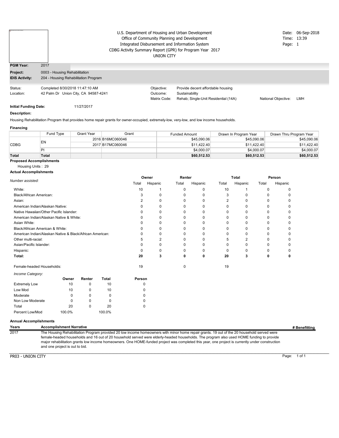|                                                       |                                       | U.S. Department of Housing and Urban Development<br>Office of Community Planning and Development<br>Integrated Disbursement and Information System<br>CDBG Activity Summary Report (GPR) for Program Year 2017<br>UNION CITY |  |                                        |                                                                                             |                     |     |  |
|-------------------------------------------------------|---------------------------------------|------------------------------------------------------------------------------------------------------------------------------------------------------------------------------------------------------------------------------|--|----------------------------------------|---------------------------------------------------------------------------------------------|---------------------|-----|--|
| <b>PGM Year:</b><br>Project:<br><b>IDIS Activity:</b> | 2017<br>0003 - Housing Rehabilitation | 204 - Housing Rehabilitation Program                                                                                                                                                                                         |  |                                        |                                                                                             |                     |     |  |
|                                                       |                                       |                                                                                                                                                                                                                              |  |                                        |                                                                                             |                     |     |  |
| Status:<br>Location:                                  | Completed 8/30/2018 11:47:10 AM       | 42 Palm Dr Union City, CA 94587-4241                                                                                                                                                                                         |  | Objective:<br>Outcome:<br>Matrix Code: | Provide decent affordable housing<br>Sustainability<br>Rehab; Single-Unit Residential (14A) | National Objective: | LMH |  |

#### **Description:**

Housing Rehabilitation Program that provides home repair grants for owner-occupied, extremely-low, very-low, and low income households.

#### **Financing**

|             | Fund Type | <b>Grant Year</b> | Grant            | <b>Funded Amount</b> | Drawn In Program Year | Drawn Thru Program Year |
|-------------|-----------|-------------------|------------------|----------------------|-----------------------|-------------------------|
|             | EN        |                   | 2016 B16MC060046 | \$45,090,06          | \$45,090,06           | \$45,090.06             |
| <b>CDBG</b> |           |                   | 2017 B17MC060046 | \$11,422,40          | \$11.422.40           | \$11.422.40             |
|             | Þ         |                   |                  | \$4.000.07           | \$4,000.07            | \$4,000.07              |
| Total       | Total     |                   |                  | \$60,512.53          | \$60,512.53           | \$60,512.53             |

### **Proposed Accomplishments**

Housing Units : 29

| <b>Actual Accomplishments</b> |  |
|-------------------------------|--|
|-------------------------------|--|

|                                                                                |        | Renter<br>Owner |       |          | Total |          | Person |              |
|--------------------------------------------------------------------------------|--------|-----------------|-------|----------|-------|----------|--------|--------------|
| Number assisted:                                                               | Total  | Hispanic        | Total | Hispanic | Total | Hispanic | Total  | Hispanic     |
| White:                                                                         | 10     |                 | U     | 0        | 10    |          |        |              |
| Black/African American:                                                        | 3      |                 |       |          |       |          |        |              |
| Asian:                                                                         |        |                 |       | N        |       |          |        |              |
| American Indian/Alaskan Native:                                                |        |                 |       | N        |       |          |        |              |
| Native Hawaiian/Other Pacific Islander:                                        |        |                 |       | ŋ        |       |          |        | $\Omega$     |
| American Indian/Alaskan Native & White:                                        |        |                 | n     | ŋ        |       |          |        | n            |
| Asian White:                                                                   |        |                 |       | N        |       |          |        |              |
| Black/African American & White:                                                |        |                 |       | N        |       |          |        | O            |
| American Indian/Alaskan Native & Black/African American:                       |        |                 | n     | ŋ        |       |          |        | n            |
| Other multi-racial:                                                            |        |                 | 0     | ŋ        |       |          |        | <sup>0</sup> |
| Asian/Pacific Islander:                                                        |        |                 |       | N        |       |          |        |              |
| Hispanic:                                                                      |        |                 |       |          |       |          |        |              |
| Total:                                                                         | 20     | 3               | n     | 0        | 20    |          |        | 0            |
| Female-headed Households:                                                      | 19     |                 |       |          | 19    |          |        |              |
| Income Category:                                                               |        |                 |       |          |       |          |        |              |
| Total<br>Owner<br>Renter                                                       | Person |                 |       |          |       |          |        |              |
| Exploration of the United States<br>$\overline{A}$<br>$\sim$<br>$\overline{A}$ | $\sim$ |                 |       |          |       |          |        |              |

| <b>Extremely Low</b> | 10     | 10     | 0        |
|----------------------|--------|--------|----------|
| Low Mod              | 10     | 10     | $\Omega$ |
| Moderate             | 0      |        | $\Omega$ |
| Non Low Moderate     | O      |        | $\Omega$ |
| Total                | 20     | 20     | $\Omega$ |
| Percent Low/Mod      | 100.0% | 100.0% |          |

#### **Annual Accomplishments**

**Years Accomplishment Narrative # Benefitting** The Housing Rehabilitation Program provided 20 low income homeowners with minor home repair grants. 19 out of the 20 household served were female-headed households and 16 out of 20 household served were elderly-headed households. The program also used HOME funding to provide major rehabilitation grants low income homeowners. One HOME-funded project was completed this year, one project is currently under construction and one project is out to bid.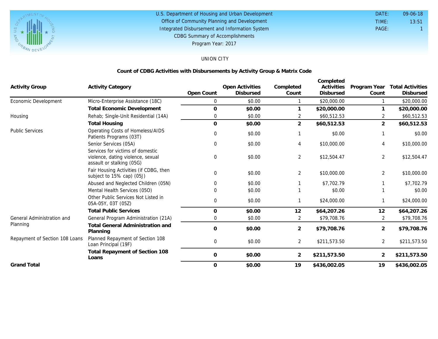

#### U.S. Department of Housing and Urban Development Office of Community Planning and Development Integrated Disbursement and Information System DATE: TIME: PAGE: 1 13:51 09-06-18 CDBG Summary of Accomplishments Program Year: 2017

### UNION CITY

### **Count of CDBG Activities with Disbursements by Activity Group & Matrix Code**

| <b>Activity Group</b>          | <b>Activity Category</b>                                                                           |              | Open Activities | Completed      | Completed<br>Activities | Program Year   | <b>Total Activities</b> |
|--------------------------------|----------------------------------------------------------------------------------------------------|--------------|-----------------|----------------|-------------------------|----------------|-------------------------|
|                                |                                                                                                    | Open Count   | Disbursed       | Count          | Disbursed               | Count          | Disbursed               |
| Economic Development           | Micro-Enterprise Assistance (18C)                                                                  | 0            | \$0.00          |                | \$20,000.00             |                | \$20,000.00             |
|                                | <b>Total Economic Development</b>                                                                  | $\mathsf{O}$ | \$0.00          |                | \$20,000.00             |                | \$20,000.00             |
| Housing                        | Rehab; Single-Unit Residential (14A)                                                               | 0            | \$0.00          | 2              | \$60,512.53             | 2              | \$60,512.53             |
|                                | <b>Total Housing</b>                                                                               | $\Omega$     | \$0.00          | $\overline{2}$ | \$60,512.53             | $\overline{2}$ | \$60,512.53             |
| <b>Public Services</b>         | Operating Costs of Homeless/AIDS<br>Patients Programs (03T)                                        | $\Omega$     | \$0.00          |                | \$0.00                  |                | \$0.00                  |
|                                | Senior Services (05A)                                                                              | 0            | \$0.00          | 4              | \$10,000.00             |                | \$10,000.00             |
|                                | Services for victims of domestic<br>violence, dating violence, sexual<br>assault or stalking (05G) | $\Omega$     | \$0.00          | $\overline{2}$ | \$12,504.47             | $\overline{2}$ | \$12,504.47             |
|                                | Fair Housing Activities (if CDBG, then<br>subject to 15% cap) (05J)                                | $\Omega$     | \$0.00          | $\overline{2}$ | \$10,000.00             | $\overline{2}$ | \$10,000.00             |
|                                | Abused and Neglected Children (05N)                                                                | 0            | \$0.00          |                | \$7,702.79              |                | \$7,702.79              |
|                                | Mental Health Services (050)                                                                       | $\Omega$     | \$0.00          |                | \$0.00                  |                | \$0.00                  |
|                                | Other Public Services Not Listed in<br>05A-05Y, 03T (05Z)                                          | 0            | \$0.00          |                | \$24,000.00             |                | \$24,000.00             |
|                                | <b>Total Public Services</b>                                                                       | $\Omega$     | \$0.00          | 12             | \$64,207.26             | 12             | \$64,207.26             |
| General Administration and     | General Program Administration (21A)                                                               | 0            | \$0.00          | 2              | \$79,708.76             | 2              | \$79,708.76             |
| Planning                       | <b>Total General Administration and</b><br>Planning                                                | $\Omega$     | \$0.00          | $\overline{2}$ | \$79,708.76             | $\overline{2}$ | \$79,708.76             |
| Repayment of Section 108 Loans | Planned Repayment of Section 108<br>Loan Principal (19F)                                           | $\mathbf{0}$ | \$0.00          | $\overline{2}$ | \$211,573.50            | $\overline{2}$ | \$211,573.50            |
|                                | Total Repayment of Section 108<br>Loans                                                            | 0            | \$0.00          | $\overline{2}$ | \$211,573.50            | 2              | \$211,573.50            |
| <b>Grand Total</b>             |                                                                                                    | $\circ$      | \$0.00          | 19             | \$436,002.05            | 19             | \$436,002.05            |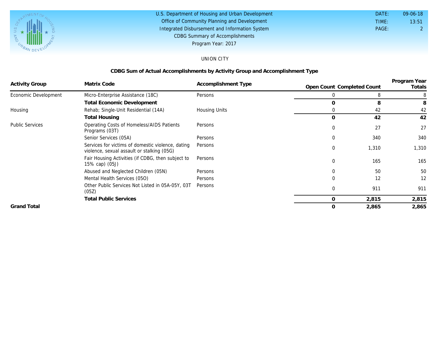

| U.S. Department of Housing and Urban Development | DATE: | $09 - 06 - 18$ |
|--------------------------------------------------|-------|----------------|
| Office of Community Planning and Development     | TIME: | 13:51          |
| Integrated Disbursement and Information System   | PAGE: |                |
| <b>CDBG Summary of Accomplishments</b>           |       |                |
| Program Year: 2017                               |       |                |

### UNION CITY

### **CDBG Sum of Actual Accomplishments by Activity Group and Accomplishment Type**

| <b>Activity Group</b>  | Matrix Code                                                                                     | Accomplishment Type  | Program Year               |       |        |  |
|------------------------|-------------------------------------------------------------------------------------------------|----------------------|----------------------------|-------|--------|--|
|                        |                                                                                                 |                      | Open Count Completed Count |       | Totals |  |
| Economic Development   | Micro-Enterprise Assistance (18C)                                                               | Persons              |                            | 8     | 8      |  |
|                        | <b>Total Economic Development</b>                                                               |                      |                            | 8     | 8      |  |
| Housing                | Rehab; Single-Unit Residential (14A)                                                            | <b>Housing Units</b> |                            | 42    | 42     |  |
|                        | <b>Total Housing</b>                                                                            |                      | $\Omega$                   | 42    | 42     |  |
| <b>Public Services</b> | Operating Costs of Homeless/AIDS Patients<br>Programs (03T)                                     | Persons              | $\mathbf{0}$               | 27    | 27     |  |
|                        | Senior Services (05A)                                                                           | Persons              | 0                          | 340   | 340    |  |
|                        | Services for victims of domestic violence, dating<br>violence, sexual assault or stalking (05G) | Persons              | $\Omega$                   | 1,310 | 1,310  |  |
|                        | Fair Housing Activities (if CDBG, then subject to<br>15% cap) (05J)                             | Persons              | 0                          | 165   | 165    |  |
|                        | Abused and Neglected Children (05N)                                                             | Persons              |                            | 50    | 50     |  |
|                        | Mental Health Services (050)                                                                    | Persons              | $\Omega$                   | 12    | 12     |  |
|                        | Other Public Services Not Listed in 05A-05Y, 03T<br>Persons<br>(05Z)                            |                      | $\Omega$                   | 911   | 911    |  |
|                        | <b>Total Public Services</b>                                                                    |                      | $\circ$                    | 2,815 | 2,815  |  |
| <b>Grand Total</b>     |                                                                                                 |                      | $\Omega$                   | 2,865 | 2,865  |  |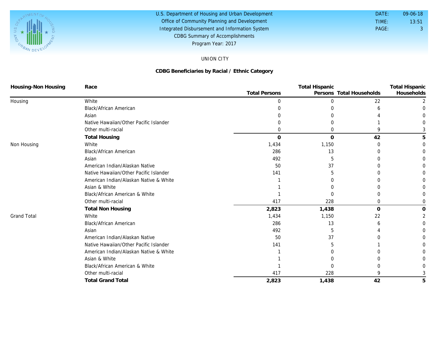

#### U.S. Department of Housing and Urban Development Office of Community Planning and Development Integrated Disbursement and Information System DATE: TIME: PAGE: 3 13:51 09-06-18 CDBG Summary of Accomplishments Program Year: 2017

### UNION CITY

### **CDBG Beneficiaries by Racial / Ethnic Category**

| Housing-Non Housing | Race                                   |                      | <b>Total Hispanic</b> |                          |                                     |  |
|---------------------|----------------------------------------|----------------------|-----------------------|--------------------------|-------------------------------------|--|
|                     |                                        | <b>Total Persons</b> |                       | Persons Total Households | <b>Total Hispanic</b><br>Households |  |
| Housing             | White                                  |                      | ∩                     | 22                       |                                     |  |
|                     | Black/African American                 |                      |                       |                          |                                     |  |
|                     | Asian                                  |                      |                       |                          |                                     |  |
|                     | Native Hawaiian/Other Pacific Islander |                      |                       |                          |                                     |  |
|                     | Other multi-racial                     | 0                    |                       |                          |                                     |  |
|                     | <b>Total Housing</b>                   | $\Omega$             | $\Omega$              | 42                       |                                     |  |
| Non Housing         | White                                  | 1,434                | 1,150                 |                          |                                     |  |
|                     | <b>Black/African American</b>          | 286                  | 13                    |                          |                                     |  |
|                     | Asian                                  | 492                  | 5                     |                          |                                     |  |
|                     | American Indian/Alaskan Native         | 50                   | 37                    |                          |                                     |  |
|                     | Native Hawaiian/Other Pacific Islander | 141                  |                       |                          |                                     |  |
|                     | American Indian/Alaskan Native & White |                      |                       |                          |                                     |  |
|                     | Asian & White                          |                      |                       |                          |                                     |  |
|                     | Black/African American & White         |                      |                       |                          |                                     |  |
|                     | Other multi-racial                     | 417                  | 228                   | 0                        |                                     |  |
|                     | <b>Total Non Housing</b>               | 2,823                | 1,438                 | $\mathbf{O}$             |                                     |  |
| <b>Grand Total</b>  | White                                  | 1,434                | 1,150                 | 22                       |                                     |  |
|                     | Black/African American                 | 286                  | 13                    |                          |                                     |  |
|                     | Asian                                  | 492                  |                       |                          |                                     |  |
|                     | American Indian/Alaskan Native         | 50                   | 37                    |                          |                                     |  |
|                     | Native Hawaiian/Other Pacific Islander | 141                  |                       |                          |                                     |  |
|                     | American Indian/Alaskan Native & White |                      |                       |                          |                                     |  |
|                     | Asian & White                          |                      |                       |                          |                                     |  |
|                     | Black/African American & White         |                      |                       |                          |                                     |  |
|                     | Other multi-racial                     | 417                  | 228                   |                          |                                     |  |
|                     | <b>Total Grand Total</b>               | 2,823                | 1,438                 | 42                       |                                     |  |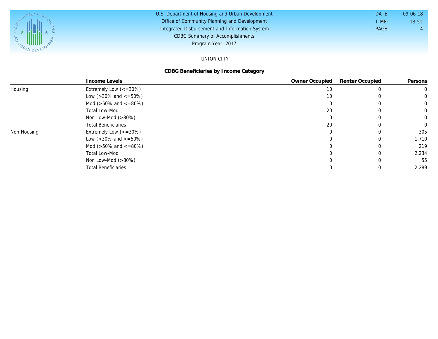

#### U.S. Department of Housing and Urban Development Office of Community Planning and Development Integrated Disbursement and Information System DATE: TIME: PAGE: 4 13:51 09-06-18 CDBG Summary of Accomplishments Program Year: 2017

### UNION CITY

### **CDBG Beneficiaries by Income Category**

|             | Income Levels                        | Owner Occupied | Renter Occupied | Persons |
|-------------|--------------------------------------|----------------|-----------------|---------|
| Housing     | Extremely Low $\left(<=30\% \right)$ | 10             |                 |         |
|             | Low ( $>30\%$ and $\lt$ =50%)        | 10             |                 |         |
|             | Mod ( $>50\%$ and $\lt$ =80%)        |                |                 |         |
|             | Total Low-Mod                        | 20             |                 |         |
|             | Non Low-Mod $(>80\%)$                |                |                 |         |
|             | <b>Total Beneficiaries</b>           | 20             |                 |         |
| Non Housing | Extremely Low $\left(<=30\% \right)$ |                |                 | 305     |
|             | Low ( $>30\%$ and $\lt$ =50%)        |                |                 | 1,710   |
|             | Mod ( $>50\%$ and $<=80\%)$          |                |                 | 219     |
|             | <b>Total Low-Mod</b>                 |                |                 | 2,234   |
|             | Non Low-Mod $(>80\%)$                |                |                 | 55      |
|             | <b>Total Beneficiaries</b>           |                |                 | 2,289   |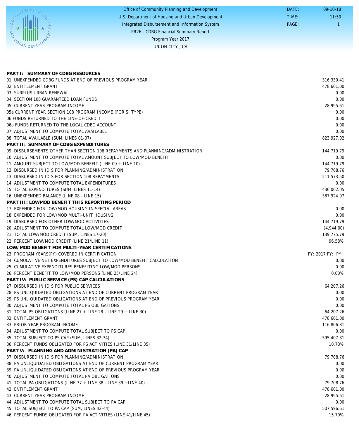|                                                               | Office of Community Planning and Development     | DATE: | $09-10-18$ |
|---------------------------------------------------------------|--------------------------------------------------|-------|------------|
|                                                               | U.S. Department of Housing and Urban Development | TIME: | 11:50      |
| $\overline{\gamma}_{\text{C}}$ $\overline{\gamma}_{\text{C}}$ | Integrated Disbursement and Information System   | PAGE: |            |
| <b>PM</b>                                                     | PR26 - CDBG Financial Summary Report             |       |            |
|                                                               | Program Year 2017                                |       |            |
| <b>CABAN DEVE</b>                                             | UNION CITY, CA                                   |       |            |
|                                                               |                                                  |       |            |

| PART I: SUMMARY OF CDBG RESOURCES                                              |                  |
|--------------------------------------------------------------------------------|------------------|
| 01 UNEXPENDED CDBG FUNDS AT END OF PREVIOUS PROGRAM YEAR                       | 316,330.41       |
| 02 ENTITLEMENT GRANT                                                           | 478,601.00       |
| 03 SURPLUS URBAN RENEWAL                                                       | 0.00             |
| 04 SECTION 108 GUARANTEED LOAN FUNDS                                           | 0.00             |
| 05 CURRENT YEAR PROGRAM INCOME                                                 | 28,995.61        |
| 05a CURRENT YEAR SECTION 108 PROGRAM INCOME (FOR SI TYPE)                      | 0.00             |
| 06 FUNDS RETURNED TO THE LINE-OF-CREDIT                                        | 0.00             |
| 06a FUNDS RETURNED TO THE LOCAL CDBG ACCOUNT                                   | 0.00             |
| 07 ADJUSTMENT TO COMPUTE TOTAL AVAILABLE                                       | 0.00             |
| 08 TOTAL AVAILABLE (SUM, LINES 01-07)                                          | 823,927.02       |
| PART II: SUMMARY OF CDBG EXPENDITURES                                          |                  |
| 09 DISBURSEMENTS OTHER THAN SECTION 108 REPAYMENTS AND PLANNING/ADMINISTRATION | 144,719.79       |
| 10 ADJUSTMENT TO COMPUTE TOTAL AMOUNT SUBJECT TO LOW/MOD BENEFIT               | 0.00             |
| 11 AMOUNT SUBJECT TO LOW/MOD BENEFIT (LINE 09 + LINE 10)                       | 144,719.79       |
| 12 DISBURSED IN IDIS FOR PLANNING/ADMINISTRATION                               | 79,708.76        |
| 13 DISBURSED IN IDIS FOR SECTION 108 REPAYMENTS                                | 211,573.50       |
| 14 ADJUSTMENT TO COMPUTE TOTAL EXPENDITURES                                    | 0.00             |
| 15 TOTAL EXPENDITURES (SUM, LINES 11-14)                                       | 436,002.05       |
| 16 UNEXPENDED BALANCE (LINE 08 - LINE 15)                                      | 387,924.97       |
| PART III: LOWMOD BENEFIT THIS REPORTING PERIOD                                 |                  |
| 17 EXPENDED FOR LOW/MOD HOUSING IN SPECIAL AREAS                               | 0.00             |
| 18 EXPENDED FOR LOW/MOD MULTI-UNIT HOUSING                                     | 0.00             |
| 19 DISBURSED FOR OTHER LOW/MOD ACTIVITIES                                      | 144,719.79       |
| 20 ADJUSTMENT TO COMPUTE TOTAL LOW/MOD CREDIT                                  | (4,944.00)       |
| 21 TOTAL LOW/MOD CREDIT (SUM, LINES 17-20)                                     | 139,775.79       |
| 22 PERCENT LOW/MOD CREDIT (LINE 21/LINE 11)                                    | 96.58%           |
| LOW/MOD BENEFIT FOR MULTI-YEAR CERTIFICATIONS                                  |                  |
| 23 PROGRAM YEARS(PY) COVERED IN CERTIFICATION                                  | PY: 2017 PY: PY: |
| 24 CUMULATIVE NET EXPENDITURES SUBJECT TO LOW/MOD BENEFIT CALCULATION          | 0.00             |
| 25 CUMULATIVE EXPENDITURES BENEFITING LOW/MOD PERSONS                          | 0.00             |
| 26 PERCENT BENEFIT TO LOW/MOD PERSONS (LINE 25/LINE 24)                        | 0.00%            |
| PART IV: PUBLIC SERVICE (PS) CAP CALCULATIONS                                  |                  |
| 27 DISBURSED IN IDIS FOR PUBLIC SERVICES                                       | 64,207.26        |
| 28 PS UNLIQUIDATED OBLIGATIONS AT END OF CURRENT PROGRAM YEAR                  | 0.00             |
| 29 PS UNLIQUIDATED OBLIGATIONS AT END OF PREVIOUS PROGRAM YEAR                 | 0.00             |
| 30 ADJUSTMENT TO COMPUTE TOTAL PS OBLIGATIONS                                  | 0.00             |
| 31 TOTAL PS OBLIGATIONS (LINE 27 + LINE 28 - LINE 29 + LINE 30)                | 64.207.26        |
| 32 ENTITLEMENT GRANT                                                           | 478,601.00       |
| 33 PRIOR YEAR PROGRAM INCOME                                                   | 116,806.81       |
| 34 ADJUSTMENT TO COMPUTE TOTAL SUBJECT TO PS CAP                               | 0.00             |
| 35 TOTAL SUBJECT TO PS CAP (SUM, LINES 32-34)                                  | 595,407.81       |
| 36 PERCENT FUNDS OBLIGATED FOR PS ACTIVITIES (LINE 31/LINE 35)                 | 10.78%           |
| PART V: PLANNING AND ADMINISTRATION (PA) CAP                                   |                  |
| 37 DISBURSED IN IDIS FOR PLANNING/ADMINISTRATION                               | 79,708.76        |
| 38 PA UNLIQUIDATED OBLIGATIONS AT END OF CURRENT PROGRAM YEAR                  | 0.00             |
| 39 PA UNLIQUIDATED OBLIGATIONS AT END OF PREVIOUS PROGRAM YEAR                 | 0.00             |
| 40 ADJUSTMENT TO COMPUTE TOTAL PA OBLIGATIONS                                  | 0.00             |
| 41 TOTAL PA OBLIGATIONS (LINE $37 +$ LINE $38 -$ LINE $39 +$ LINE 40)          | 79,708.76        |
| 42 ENTITLEMENT GRANT                                                           | 478,601.00       |
| 43 CURRENT YEAR PROGRAM INCOME                                                 | 28,995.61        |
| 44 ADJUSTMENT TO COMPUTE TOTAL SUBJECT TO PA CAP                               | 0.00             |
| 45 TOTAL SUBJECT TO PA CAP (SUM, LINES 42-44)                                  | 507,596.61       |
| 46 PERCENT FUNDS OBLIGATED FOR PA ACTIVITIES (LINE 41/LINE 45)                 | 15.70%           |
|                                                                                |                  |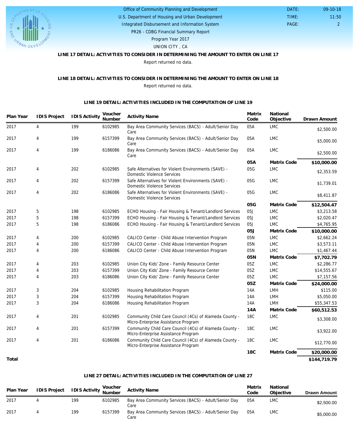

## U.S. Department of Housing and Urban Development Office of Community Planning and Development Integrated Disbursement and Information System

PAGE: 2 11:50 09-10-18

 DATE: TIME:

PR26 - CDBG Financial Summary Report

Program Year 2017

UNION CITY , CA

## **LINE 17 DETAIL: ACTIVITIES TO CONSIDER IN DETERMINING THE AMOUNT TO ENTER ON LINE 17**

Report returned no data.

### **LINE 18 DETAIL: ACTIVITIES TO CONSIDER IN DETERMINING THE AMOUNT TO ENTER ON LINE 18** Report returned no data.

### **LINE 19 DETAIL: ACTIVITIES INCLUDED IN THE COMPUTATION OF LINE 19**

| Plan Year | <b>IDIS Project</b> | <b>IDIS Activity</b> | Voucher<br>Number | <b>Activity Name</b>                                                                          | Matrix<br>Code | National<br>Objective | Drawn Amount |
|-----------|---------------------|----------------------|-------------------|-----------------------------------------------------------------------------------------------|----------------|-----------------------|--------------|
| 2017      | $\overline{4}$      | 199                  | 6102985           | Bay Area Community Services (BACS) - Adult/Senior Day<br>Care                                 | 05A            | <b>LMC</b>            | \$2,500.00   |
| 2017      | 4                   | 199                  | 6157399           | Bay Area Community Services (BACS) - Adult/Senior Day<br>Care                                 | 05A            | <b>LMC</b>            | \$5,000.00   |
| 2017      | $\overline{4}$      | 199                  | 6186086           | Bay Area Community Services (BACS) - Adult/Senior Day<br>Care                                 | 05A            | <b>LMC</b>            | \$2,500.00   |
|           |                     |                      |                   |                                                                                               | 05A            | Matrix Code           | \$10,000.00  |
| 2017      | 4                   | 202                  | 6102985           | Safe Alternatives for Violent Environments (SAVE) -<br>Domestic Violence Services             | 05G            | <b>LMC</b>            | \$2,353.59   |
| 2017      | $\overline{4}$      | 202                  | 6157399           | Safe Alternatives for Violent Environments (SAVE) -<br>Domestic Violence Services             | 05G            | <b>LMC</b>            | \$1,739.01   |
| 2017      | 4                   | 202                  | 6186086           | Safe Alternatives for Violent Environments (SAVE) -<br>Domestic Violence Services             | 05G            | <b>LMC</b>            | \$8,411.87   |
|           |                     |                      |                   |                                                                                               | 05G            | Matrix Code           | \$12,504.47  |
| 2017      | 5                   | 198                  | 6102985           | ECHO Housing - Fair Housing & Tenant/Landlord Services                                        | 05J            | <b>LMC</b>            | \$3,213.58   |
| 2017      | 5                   | 198                  | 6157399           | ECHO Housing - Fair Housing & Tenant/Landlord Services                                        | 05J            | <b>LMC</b>            | \$2,020.47   |
| 2017      | 5                   | 198                  | 6186086           | ECHO Housing - Fair Housing & Tenant/Landlord Services                                        | 05J            | <b>LMC</b>            | \$4,765.95   |
|           |                     |                      |                   |                                                                                               | 05J            | Matrix Code           | \$10,000.00  |
| 2017      | 4                   | 200                  | 6102985           | CALICO Center - Child Abuse Intervention Program                                              | 05N            | <b>LMC</b>            | \$2,662.24   |
| 2017      | $\overline{4}$      | 200                  | 6157399           | CALICO Center - Child Abuse Intervention Program                                              | 05N            | <b>LMC</b>            | \$3,573.11   |
| 2017      | 4                   | 200                  | 6186086           | CALICO Center - Child Abuse Intervention Program                                              | 05N            | <b>LMC</b>            | \$1,467.44   |
|           |                     |                      |                   |                                                                                               | 05N            | Matrix Code           | \$7,702.79   |
| 2017      | 4                   | 203                  | 6102985           | Union City Kids' Zone - Family Resource Center                                                | 05Z            | <b>LMC</b>            | \$2,286.77   |
| 2017      | 4                   | 203                  | 6157399           | Union City Kids' Zone - Family Resource Center                                                | 05Z            | <b>LMC</b>            | \$14,555.67  |
| 2017      | 4                   | 203                  | 6186086           | Union City Kids' Zone - Family Resource Center                                                | 05Z            | <b>LMC</b>            | \$7,157.56   |
|           |                     |                      |                   |                                                                                               | 05Z            | Matrix Code           | \$24,000.00  |
| 2017      | 3                   | 204                  | 6102985           | Housing Rehabilitation Program                                                                | 14A            | <b>LMH</b>            | \$115.00     |
| 2017      | 3                   | 204                  | 6157399           | Housing Rehabilitation Program                                                                | 14A            | LMH                   | \$5,050.00   |
| 2017      | 3                   | 204                  | 6186086           | Housing Rehabilitation Program                                                                | 14A            | <b>LMH</b>            | \$55,347.53  |
|           |                     |                      |                   |                                                                                               | 14A            | Matrix Code           | \$60,512.53  |
| 2017      | 4                   | 201                  | 6102985           | Community Child Care Council (4Cs) of Alameda County -<br>Micro-Enterprise Assistance Program | <b>18C</b>     | <b>LMC</b>            | \$3,308.00   |
| 2017      | 4                   | 201                  | 6157399           | Community Child Care Council (4Cs) of Alameda County -<br>Micro-Enterprise Assistance Program | 18C            | <b>LMC</b>            | \$3,922.00   |
| 2017      | 4                   | 201                  | 6186086           | Community Child Care Council (4Cs) of Alameda County -<br>Micro-Enterprise Assistance Program | <b>18C</b>     | <b>LMC</b>            | \$12,770.00  |
|           |                     |                      |                   |                                                                                               | <b>18C</b>     | Matrix Code           | \$20,000.00  |
| Total     |                     |                      |                   |                                                                                               |                |                       | \$144,719.79 |

### **LINE 27 DETAIL: ACTIVITIES INCLUDED IN THE COMPUTATION OF LINE 27**

| Plan Year | IDIS Project | IDIS Activity Voucher |         | <b>Activity Name</b>                                          | Matrix<br>Code | National<br>Objective | <b>Drawn Amount</b> |
|-----------|--------------|-----------------------|---------|---------------------------------------------------------------|----------------|-----------------------|---------------------|
| 2017      |              | 199                   | 6102985 | Bay Area Community Services (BACS) - Adult/Senior Day<br>Care | 05A            | <b>LMC</b>            | \$2,500.00          |
| 2017      |              | 199                   | 6157399 | Bay Area Community Services (BACS) - Adult/Senior Day<br>Care | 05A            | <b>LMC</b>            | \$5,000.00          |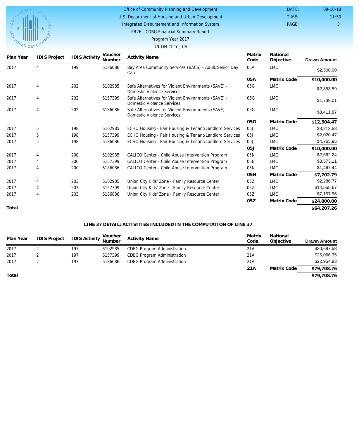

#### Office of Community Planning and Development DATE:

U.S. Department of Housing and Urban Development Integrated Disbursement and Information System

PAGE: 3 11:50 09-10-18

TIME:

PR26 - CDBG Financial Summary Report

Program Year 2017

### UNION CITY , CA

| Plan Year | <b>IDIS Project</b> | <b>IDIS Activity</b> | Voucher<br>Number | <b>Activity Name</b>                                                              | Matrix<br>Code   | National<br>Objective | <b>Drawn Amount</b> |
|-----------|---------------------|----------------------|-------------------|-----------------------------------------------------------------------------------|------------------|-----------------------|---------------------|
| 2017      | 4                   | 199                  | 6186086           | Bay Area Community Services (BACS) - Adult/Senior Day<br>Care                     | 05A              | <b>LMC</b>            | \$2,500.00          |
|           |                     |                      |                   |                                                                                   | 05A              | Matrix Code           | \$10,000.00         |
| 2017      | 4                   | 202                  | 6102985           | Safe Alternatives for Violent Environments (SAVE) -<br>Domestic Violence Services | 05G              | LMC                   | \$2,353.59          |
| 2017      | 4                   | 202                  | 6157399           | Safe Alternatives for Violent Environments (SAVE) -<br>Domestic Violence Services | 05G              | <b>LMC</b>            | \$1,739.01          |
| 2017      | 4                   | 202                  | 6186086           | Safe Alternatives for Violent Environments (SAVE) -<br>Domestic Violence Services | 05G              | <b>LMC</b>            | \$8,411.87          |
|           |                     |                      |                   |                                                                                   | 05G              | Matrix Code           | \$12,504.47         |
| 2017      | 5                   | 198                  | 6102985           | ECHO Housing - Fair Housing & Tenant/Landlord Services                            | 05J              | <b>LMC</b>            | \$3,213.58          |
| 2017      | 5                   | 198                  | 6157399           | ECHO Housing - Fair Housing & Tenant/Landlord Services                            | 05J              | <b>LMC</b>            | \$2,020.47          |
| 2017      | 5                   | 198                  | 6186086           | ECHO Housing - Fair Housing & Tenant/Landlord Services                            | 05J              | <b>LMC</b>            | \$4,765.95          |
|           |                     |                      |                   |                                                                                   | O <sub>5</sub> J | Matrix Code           | \$10,000.00         |
| 2017      | 4                   | 200                  | 6102985           | CALICO Center - Child Abuse Intervention Program                                  | 05N              | <b>LMC</b>            | \$2,662.24          |
| 2017      | 4                   | 200                  | 6157399           | CALICO Center - Child Abuse Intervention Program                                  | 05N              | <b>LMC</b>            | \$3,573.11          |
| 2017      | 4                   | 200                  | 6186086           | CALICO Center - Child Abuse Intervention Program                                  | 05N              | <b>LMC</b>            | \$1,467.44          |
|           |                     |                      |                   |                                                                                   | 05N              | Matrix Code           | \$7,702.79          |
| 2017      | 4                   | 203                  | 6102985           | Union City Kids' Zone - Family Resource Center                                    | 05Z              | <b>LMC</b>            | \$2,286.77          |
| 2017      | 4                   | 203                  | 6157399           | Union City Kids' Zone - Family Resource Center                                    | 05Z              | <b>LMC</b>            | \$14,555.67         |
| 2017      | 4                   | 203                  | 6186086           | Union City Kids' Zone - Family Resource Center                                    | 05Z              | <b>LMC</b>            | \$7,157.56          |
|           |                     |                      |                   |                                                                                   | 05Z              | Matrix Code           | \$24,000.00         |
| Total     |                     |                      |                   |                                                                                   |                  |                       | \$64,207.26         |

### **LINE 37 DETAIL: ACTIVITIES INCLUDED IN THE COMPUTATION OF LINE 37**

| Plan Year | IDIS Project IDIS Activity Voucher |     |         | <b>Activity Name</b>               | Matrix<br>Code | National<br>Objective | <b>Drawn Amount</b> |
|-----------|------------------------------------|-----|---------|------------------------------------|----------------|-----------------------|---------------------|
| 2017      |                                    | 197 | 6102985 | <b>CDBG Program Administration</b> | 21A            |                       | \$30,687.58         |
| 2017      |                                    | 197 | 6157399 | <b>CDBG Program Administration</b> | 21A            |                       | \$26,066.35         |
| 2017      |                                    | 197 | 6186086 | <b>CDBG Program Administration</b> | 21A            |                       | \$22,954.83         |
|           |                                    |     |         |                                    | 21A            | Matrix Code           | \$79,708.76         |
| Total     |                                    |     |         |                                    |                |                       | \$79,708.76         |